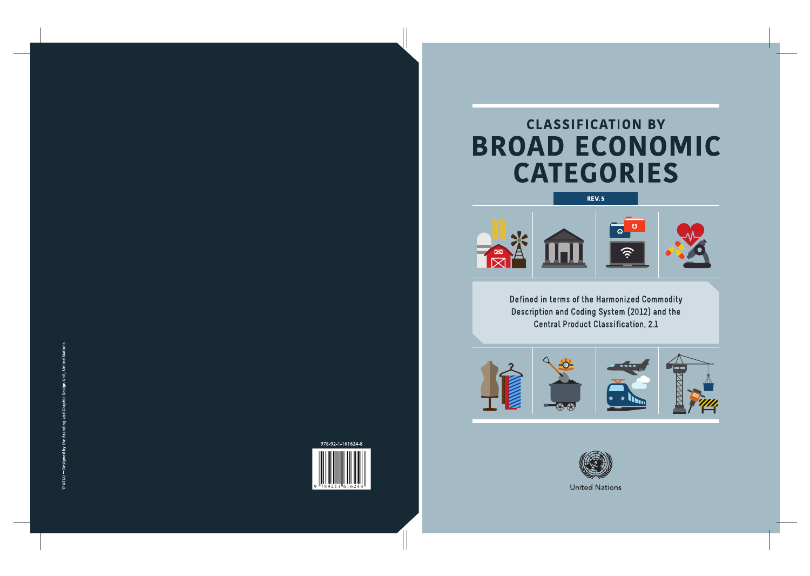# **CLASSIFICATION BY BROAD ECONOMIC CATEGORIES**





Defined in terms of the Harmonized Commodity Description and Coding System (2012) and the **Central Product Classification, 2.1** 



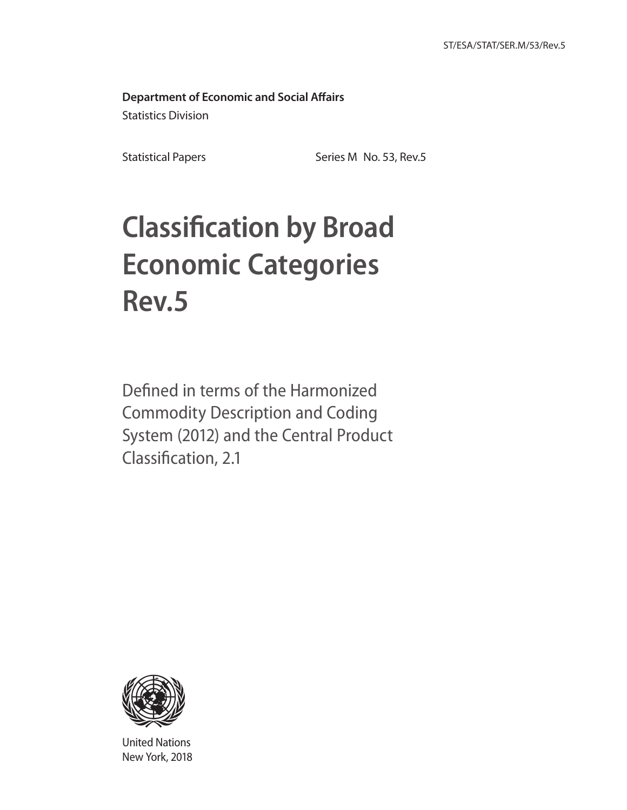### **Department of Economic and Social Affairs** Statistics Division

Statistical Papers Series M No. 53, Rev.5

## **Classification by Broad Economic Categories Rev.5**

Defined in terms of the Harmonized Commodity Description and Coding System (2012) and the Central Product Classification, 2.1



United Nations New York, 2018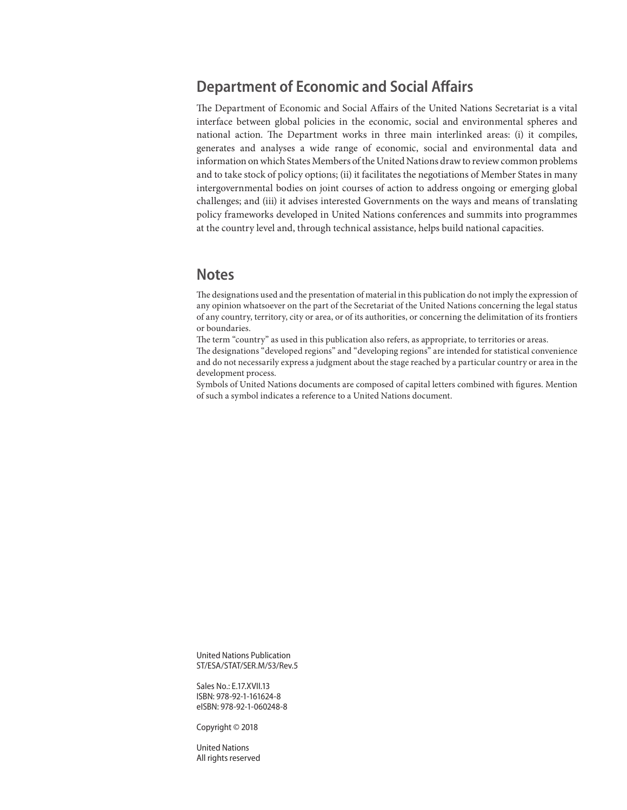### **Department of Economic and Social Affairs**

The Department of Economic and Social Affairs of the United Nations Secretariat is a vital interface between global policies in the economic, social and environmental spheres and national action. The Department works in three main interlinked areas: (i) it compiles, generates and analyses a wide range of economic, social and environmental data and information on which States Members of the United Nations draw to review common problems and to take stock of policy options; (ii) it facilitates the negotiations of Member States in many intergovernmental bodies on joint courses of action to address ongoing or emerging global challenges; and (iii) it advises interested Governments on the ways and means of translating policy frameworks developed in United Nations conferences and summits into programmes at the country level and, through technical assistance, helps build national capacities.

### **Notes**

The designations used and the presentation of material in this publication do not imply the expression of any opinion whatsoever on the part of the Secretariat of the United Nations concerning the legal status of any country, territory, city or area, or of its authorities, or concerning the delimitation of its frontiers or boundaries.

The term "country" as used in this publication also refers, as appropriate, to territories or areas.

The designations "developed regions" and "developing regions" are intended for statistical convenience and do not necessarily express a judgment about the stage reached by a particular country or area in the development process.

Symbols of United Nations documents are composed of capital letters combined with figures. Mention of such a symbol indicates a reference to a United Nations document.

United Nations Publication ST/ESA/STAT/SER.M/53/Rev.5

Sales No.: E.17.XVII.13 ISBN: 978-92-1-161624-8 eISBN: 978-92-1-060248-8

Copyright © 2018

United Nations All rights reserved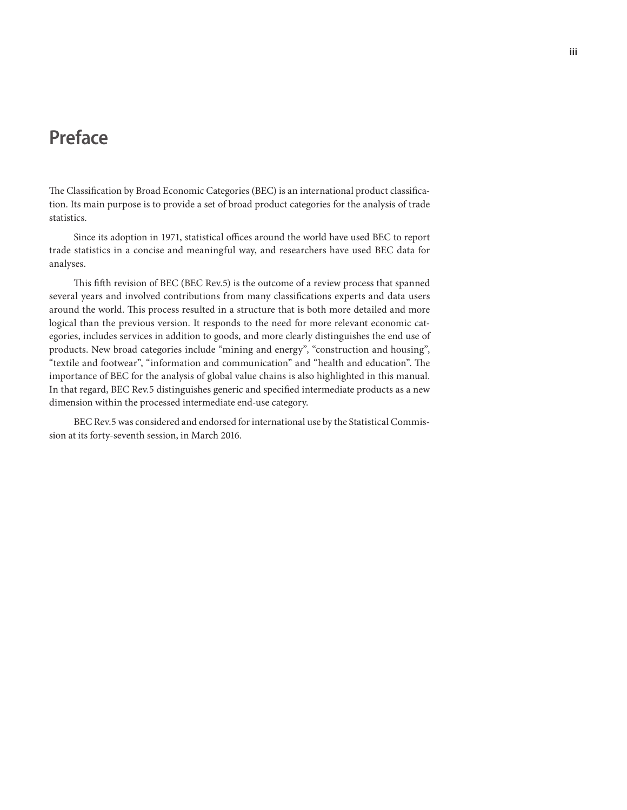### **Preface**

The Classification by Broad Economic Categories (BEC) is an international product classification. Its main purpose is to provide a set of broad product categories for the analysis of trade statistics.

Since its adoption in 1971, statistical offices around the world have used BEC to report trade statistics in a concise and meaningful way, and researchers have used BEC data for analyses.

This fifth revision of BEC (BEC Rev.5) is the outcome of a review process that spanned several years and involved contributions from many classifications experts and data users around the world. This process resulted in a structure that is both more detailed and more logical than the previous version. It responds to the need for more relevant economic categories, includes services in addition to goods, and more clearly distinguishes the end use of products. New broad categories include "mining and energy", "construction and housing", "textile and footwear", "information and communication" and "health and education". The importance of BEC for the analysis of global value chains is also highlighted in this manual. In that regard, BEC Rev.5 distinguishes generic and specified intermediate products as a new dimension within the processed intermediate end-use category.

BEC Rev.5 was considered and endorsed for international use by the Statistical Commission at its forty-seventh session, in March 2016.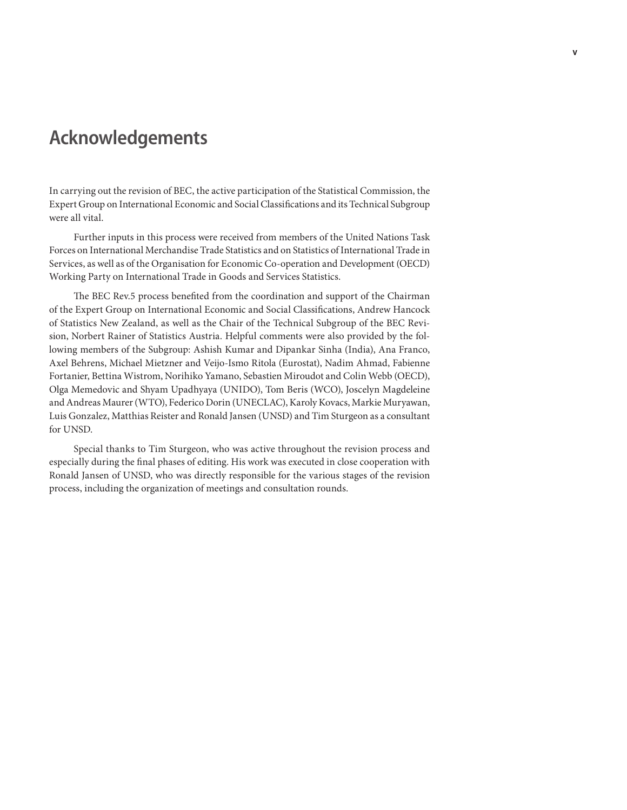### **Acknowledgements**

In carrying out the revision of BEC, the active participation of the Statistical Commission, the Expert Group on International Economic and Social Classifications and its Technical Subgroup were all vital.

Further inputs in this process were received from members of the United Nations Task Forces on International Merchandise Trade Statistics and on Statistics of International Trade in Services, as well as of the Organisation for Economic Co-operation and Development (OECD) Working Party on International Trade in Goods and Services Statistics.

The BEC Rev.5 process benefited from the coordination and support of the Chairman of the Expert Group on International Economic and Social Classifications, Andrew Hancock of Statistics New Zealand, as well as the Chair of the Technical Subgroup of the BEC Revision, Norbert Rainer of Statistics Austria. Helpful comments were also provided by the following members of the Subgroup: Ashish Kumar and Dipankar Sinha (India), Ana Franco, Axel Behrens, Michael Mietzner and Veijo-Ismo Ritola (Eurostat), Nadim Ahmad, Fabienne Fortanier, Bettina Wistrom, Norihiko Yamano, Sebastien Miroudot and Colin Webb (OECD), Olga Memedovic and Shyam Upadhyaya (UNIDO), Tom Beris (WCO), Joscelyn Magdeleine and Andreas Maurer (WTO), Federico Dorin (UNECLAC), Karoly Kovacs, Markie Muryawan, Luis Gonzalez, Matthias Reister and Ronald Jansen (UNSD) and Tim Sturgeon as a consultant for UNSD.

Special thanks to Tim Sturgeon, who was active throughout the revision process and especially during the final phases of editing. His work was executed in close cooperation with Ronald Jansen of UNSD, who was directly responsible for the various stages of the revision process, including the organization of meetings and consultation rounds.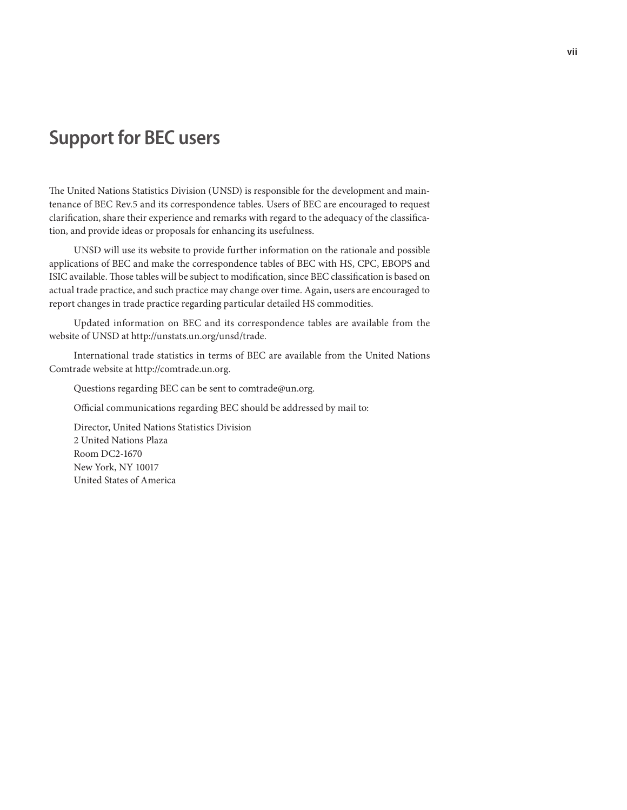### **Support for BEC users**

The United Nations Statistics Division (UNSD) is responsible for the development and maintenance of BEC Rev.5 and its correspondence tables. Users of BEC are encouraged to request clarification, share their experience and remarks with regard to the adequacy of the classification, and provide ideas or proposals for enhancing its usefulness.

UNSD will use its website to provide further information on the rationale and possible applications of BEC and make the correspondence tables of BEC with HS, CPC, EBOPS and ISIC available. Those tables will be subject to modification, since BEC classification is based on actual trade practice, and such practice may change over time. Again, users are encouraged to report changes in trade practice regarding particular detailed HS commodities.

Updated information on BEC and its correspondence tables are available from the website of UNSD at http://unstats.un.org/unsd/trade.

International trade statistics in terms of BEC are available from the United Nations Comtrade website at http://comtrade.un.org.

Questions regarding BEC can be sent to comtrade@un.org.

Official communications regarding BEC should be addressed by mail to:

Director, United Nations Statistics Division 2 United Nations Plaza Room DC2-1670 New York, NY 10017 United States of America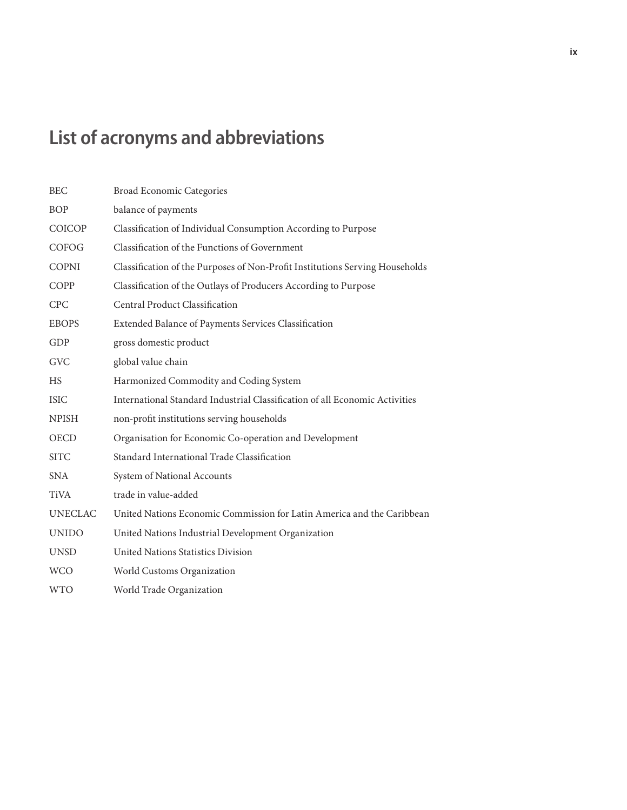## **List of acronyms and abbreviations**

| <b>BEC</b>     | <b>Broad Economic Categories</b>                                             |
|----------------|------------------------------------------------------------------------------|
| <b>BOP</b>     | balance of payments                                                          |
| <b>COICOP</b>  | Classification of Individual Consumption According to Purpose                |
| COFOG          | Classification of the Functions of Government                                |
| <b>COPNI</b>   | Classification of the Purposes of Non-Profit Institutions Serving Households |
| COPP           | Classification of the Outlays of Producers According to Purpose              |
| <b>CPC</b>     | Central Product Classification                                               |
| <b>EBOPS</b>   | Extended Balance of Payments Services Classification                         |
| <b>GDP</b>     | gross domestic product                                                       |
| <b>GVC</b>     | global value chain                                                           |
| <b>HS</b>      | Harmonized Commodity and Coding System                                       |
| <b>ISIC</b>    | International Standard Industrial Classification of all Economic Activities  |
| <b>NPISH</b>   | non-profit institutions serving households                                   |
| <b>OECD</b>    | Organisation for Economic Co-operation and Development                       |
| <b>SITC</b>    | Standard International Trade Classification                                  |
| <b>SNA</b>     | System of National Accounts                                                  |
| <b>TiVA</b>    | trade in value-added                                                         |
| <b>UNECLAC</b> | United Nations Economic Commission for Latin America and the Caribbean       |
| <b>UNIDO</b>   | United Nations Industrial Development Organization                           |
| <b>UNSD</b>    | <b>United Nations Statistics Division</b>                                    |
| <b>WCO</b>     | World Customs Organization                                                   |
| <b>WTO</b>     | World Trade Organization                                                     |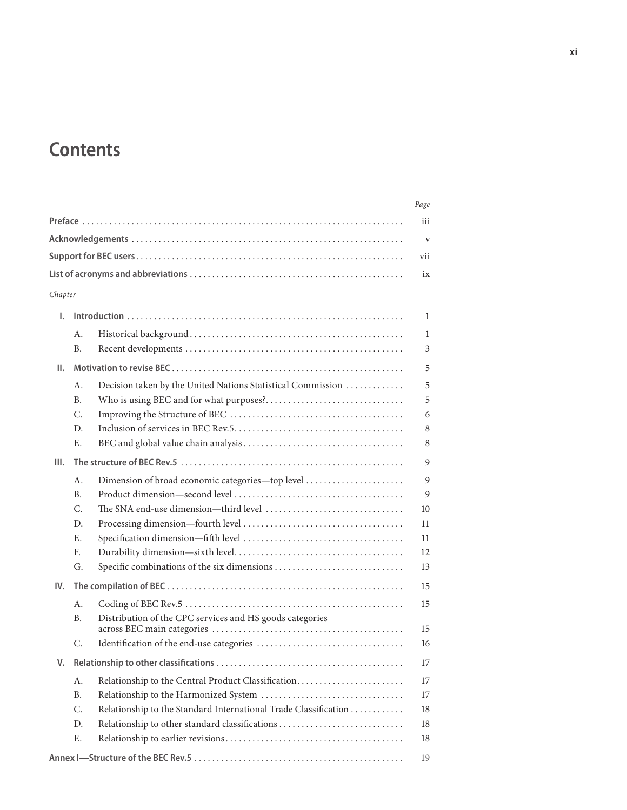### **Contents**

|         |                                                                       | Page         |
|---------|-----------------------------------------------------------------------|--------------|
|         |                                                                       | iii          |
|         |                                                                       | $\mathbf{V}$ |
|         |                                                                       | vii          |
|         |                                                                       | ix           |
| Chapter |                                                                       |              |
| L.      |                                                                       | 1            |
|         |                                                                       |              |
|         | A.                                                                    | 1            |
|         | В.                                                                    | 3            |
| Ш.      |                                                                       | 5            |
|         | Decision taken by the United Nations Statistical Commission<br>А.     | 5            |
|         | <b>B.</b>                                                             | 5            |
|         | C.                                                                    | 6            |
|         | D.                                                                    | 8            |
|         | Ε.                                                                    | 8            |
| III.    |                                                                       | 9            |
|         | Dimension of broad economic categories-top level<br>A.                | 9            |
|         | <b>B.</b>                                                             | 9            |
|         | C.                                                                    | 10           |
|         | D.                                                                    | 11           |
|         | Е.                                                                    | 11           |
|         | F.                                                                    | 12           |
|         | G.                                                                    | 13           |
| IV.     |                                                                       | 15           |
|         | А.                                                                    | 15           |
|         | Distribution of the CPC services and HS goods categories<br><b>B.</b> | 15           |
|         | C.                                                                    | 16           |
| V.      |                                                                       | 17           |
|         | Relationship to the Central Product Classification<br>A.              | 17           |
|         | <b>B.</b>                                                             | 17           |
|         | Relationship to the Standard International Trade Classification<br>C. | 18           |
|         | D.                                                                    | $18\,$       |
|         | Ε.                                                                    | 18           |
|         |                                                                       | 19           |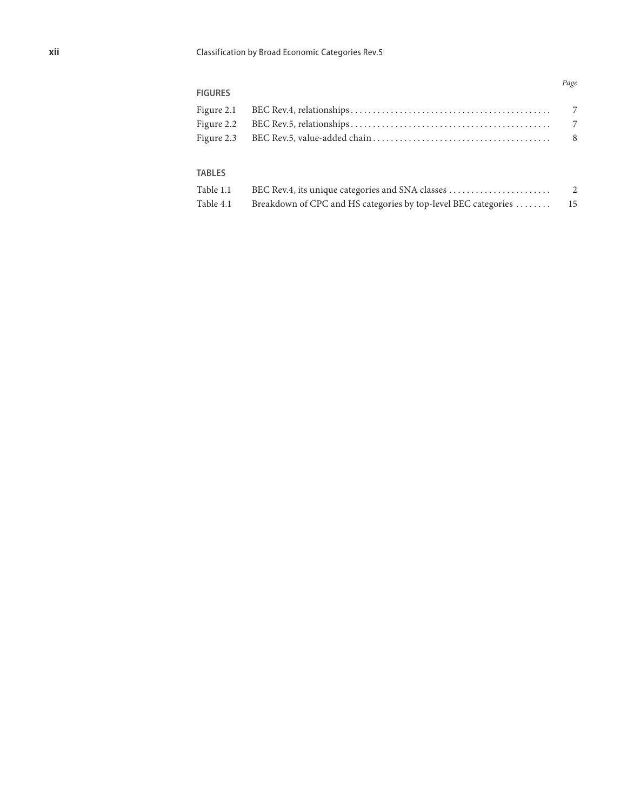#### **xii** Classification by Broad Economic Categories Rev.5

### **FIGURES** Figure 2.1 BEC Rev.4, relationships . . 7 Figure 2.2 BEC Rev.5, relationships . . 7 Figure 2.3 BEC Rev.5, value-added chain . . 8 **TABLES** Table 1.1 BEC Rev.4, its unique categories and SNA classes . . 2 Table 4.1 Breakdown of CPC and HS categories by top-level BEC categories . . . . . . . . 15

#### *Page*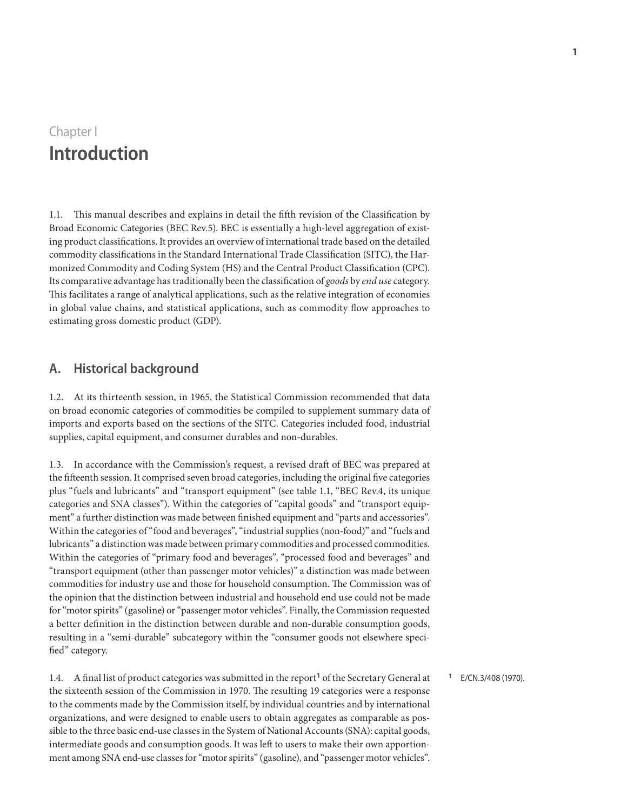### Chapter I **Introduction**

1.1. This manual describes and explains in detail the fifth revision of the Classification by Broad Economic Categories (BEC Rev.5). BEC is essentially a high-level aggregation of existing product classifications. It provides an overview of international trade based on the detailed commodity classifications in the Standard International Trade Classification (SITC), the Harmonized Commodity and Coding System (HS) and the Central Product Classification (CPC). Its comparative advantage has traditionally been the classification of *goods* by *end use* category. This facilitates a range of analytical applications, such as the relative integration of economies in global value chains, and statistical applications, such as commodity flow approaches to estimating gross domestic product (GDP).

### **A. Historical background**

1.2. At its thirteenth session, in 1965, the Statistical Commission recommended that data on broad economic categories of commodities be compiled to supplement summary data of imports and exports based on the sections of the SITC. Categories included food, industrial supplies, capital equipment, and consumer durables and non-durables.

1.3. In accordance with the Commission's request, a revised draft of BEC was prepared at the fifteenth session. It comprised seven broad categories, including the original five categories plus "fuels and lubricants" and "transport equipment" (see table 1.1, "BEC Rev.4, its unique categories and SNA classes"). Within the categories of "capital goods" and "transport equipment" a further distinction was made between finished equipment and "parts and accessories". Within the categories of "food and beverages", "industrial supplies (non-food)" and "fuels and lubricants" a distinction was made between primary commodities and processed commodities. Within the categories of "primary food and beverages", "processed food and beverages" and "transport equipment (other than passenger motor vehicles)" a distinction was made between commodities for industry use and those for household consumption. The Commission was of the opinion that the distinction between industrial and household end use could not be made for "motor spirits" (gasoline) or "passenger motor vehicles". Finally, the Commission requested a better definition in the distinction between durable and non-durable consumption goods, resulting in a "semi-durable" subcategory within the "consumer goods not elsewhere specified" category.

1.4. A final list of product categories was submitted in the report**<sup>1</sup>** of the Secretary General at the sixteenth session of the Commission in 1970. The resulting 19 categories were a response to the comments made by the Commission itself, by individual countries and by international organizations, and were designed to enable users to obtain aggregates as comparable as possible to the three basic end-use classes in the System of National Accounts (SNA): capital goods, intermediate goods and consumption goods. It was left to users to make their own apportionment among SNA end-use classes for "motor spirits" (gasoline), and "passenger motor vehicles".

#### **<sup>1</sup>** E/CN.3/408 (1970).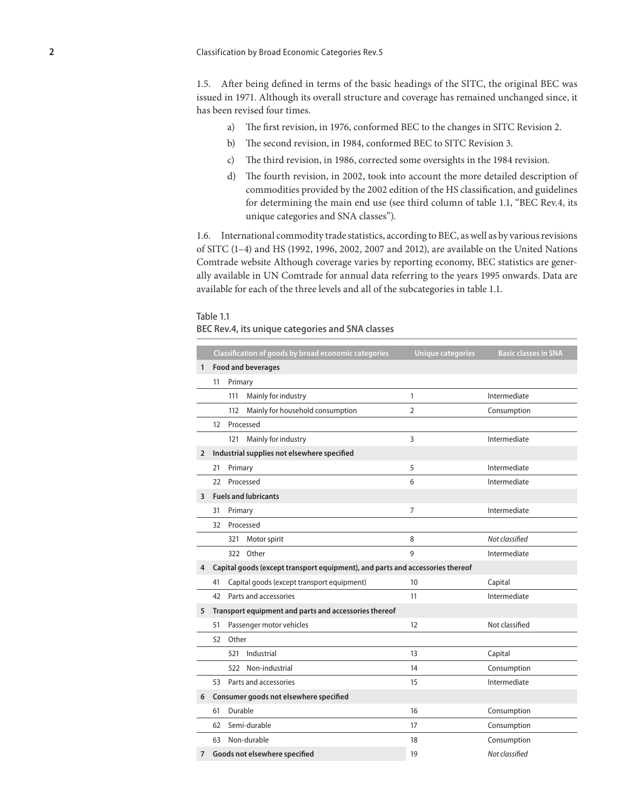1.5. After being defined in terms of the basic headings of the SITC, the original BEC was issued in 1971. Although its overall structure and coverage has remained unchanged since, it has been revised four times.

- a) The first revision, in 1976, conformed BEC to the changes in SITC Revision 2.
- b) The second revision, in 1984, conformed BEC to SITC Revision 3.
- c) The third revision, in 1986, corrected some oversights in the 1984 revision.
- d) The fourth revision, in 2002, took into account the more detailed description of commodities provided by the 2002 edition of the HS classification, and guidelines for determining the main end use (see third column of table 1.1, "BEC Rev.4, its unique categories and SNA classes").

1.6. International commodity trade statistics, according to BEC, as well as by various revisions of SITC (1–4) and HS (1992, 1996, 2002, 2007 and 2012), are available on the United Nations Comtrade website Although coverage varies by reporting economy, BEC statistics are generally available in UN Comtrade for annual data referring to the years 1995 onwards. Data are available for each of the three levels and all of the subcategories in table 1.1.

#### Table 1.1

**BEC Rev.4, its unique categories and SNA classes**

|   |                                                       |         | Classification of goods by broad economic categories                          | <b>Unique categories</b> | <b>Basic classes in SNA</b> |
|---|-------------------------------------------------------|---------|-------------------------------------------------------------------------------|--------------------------|-----------------------------|
| 1 | <b>Food and beverages</b>                             |         |                                                                               |                          |                             |
|   | 11                                                    | Primary |                                                                               |                          |                             |
|   |                                                       | 111     | Mainly for industry                                                           | 1                        | Intermediate                |
|   |                                                       | 112     | Mainly for household consumption                                              | $\overline{2}$           | Consumption                 |
|   | 12                                                    |         | Processed                                                                     |                          |                             |
|   |                                                       | 121     | Mainly for industry                                                           | 3                        | Intermediate                |
| 2 |                                                       |         | Industrial supplies not elsewhere specified                                   |                          |                             |
|   | 21                                                    | Primary |                                                                               | 5                        | Intermediate                |
|   | 22                                                    |         | Processed                                                                     | 6                        | Intermediate                |
| 3 |                                                       |         | <b>Fuels and lubricants</b>                                                   |                          |                             |
|   | 31                                                    | Primary |                                                                               | $\overline{7}$           | Intermediate                |
|   | 32                                                    |         | Processed                                                                     |                          |                             |
|   |                                                       | 321     | Motor spirit                                                                  | 8                        | Not classified              |
|   |                                                       | 322     | Other                                                                         | 9                        | Intermediate                |
| 4 |                                                       |         | Capital goods (except transport equipment), and parts and accessories thereof |                          |                             |
|   | 41                                                    |         | Capital goods (except transport equipment)                                    | 10                       | Capital                     |
|   | 42                                                    |         | Parts and accessories                                                         | 11                       | Intermediate                |
| 5 | Transport equipment and parts and accessories thereof |         |                                                                               |                          |                             |
|   | 51                                                    |         | Passenger motor vehicles                                                      | 12                       | Not classified              |
|   | 52                                                    | Other   |                                                                               |                          |                             |
|   |                                                       | 521     | Industrial                                                                    | 13                       | Capital                     |
|   |                                                       | 522     | Non-industrial                                                                | 14                       | Consumption                 |
|   | 53                                                    |         | Parts and accessories                                                         | 15                       | Intermediate                |
| 6 |                                                       |         | Consumer goods not elsewhere specified                                        |                          |                             |
|   | 61                                                    | Durable |                                                                               | 16                       | Consumption                 |
|   | 62                                                    |         | Semi-durable                                                                  | 17                       | Consumption                 |
|   | 63                                                    |         | Non-durable                                                                   | 18                       | Consumption                 |
| 7 |                                                       |         | Goods not elsewhere specified                                                 | 19                       | Not classified              |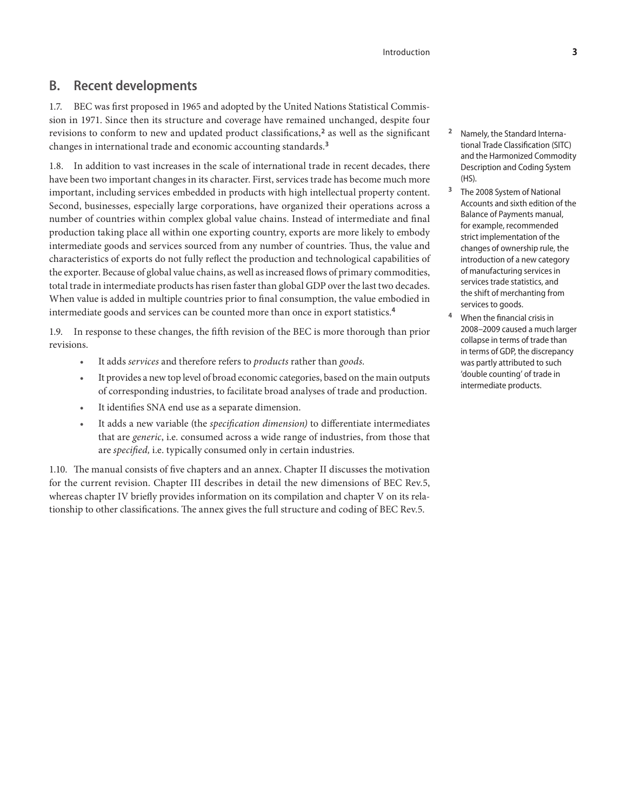### **B. Recent developments**

1.7. BEC was first proposed in 1965 and adopted by the United Nations Statistical Commission in 1971. Since then its structure and coverage have remained unchanged, despite four revisions to conform to new and updated product classifications, **<sup>2</sup>** as well as the significant changes in international trade and economic accounting standards.**<sup>3</sup>**

1.8. In addition to vast increases in the scale of international trade in recent decades, there have been two important changes in its character. First, services trade has become much more important, including services embedded in products with high intellectual property content. Second, businesses, especially large corporations, have organized their operations across a number of countries within complex global value chains. Instead of intermediate and final production taking place all within one exporting country, exports are more likely to embody intermediate goods and services sourced from any number of countries. Thus, the value and characteristics of exports do not fully reflect the production and technological capabilities of the exporter. Because of global value chains, as well as increased flows of primary commodities, total trade in intermediate products has risen faster than global GDP over the last two decades. When value is added in multiple countries prior to final consumption, the value embodied in intermediate goods and services can be counted more than once in export statistics.**<sup>4</sup>**

1.9. In response to these changes, the fifth revision of the BEC is more thorough than prior revisions.

- It adds *services* and therefore refers to *products* rather than *goods*.
- It provides a new top level of broad economic categories, based on the main outputs of corresponding industries, to facilitate broad analyses of trade and production.
- It identifies SNA end use as a separate dimension.
- It adds a new variable (the *specification dimension)* to differentiate intermediates that are *generic*, i.e. consumed across a wide range of industries, from those that are *specified,* i.e. typically consumed only in certain industries.

1.10. The manual consists of five chapters and an annex. Chapter II discusses the motivation for the current revision. Chapter III describes in detail the new dimensions of BEC Rev.5, whereas chapter IV briefly provides information on its compilation and chapter V on its relationship to other classifications. The annex gives the full structure and coding of BEC Rev.5.

- **<sup>2</sup>** Namely, the Standard International Trade Classification (SITC) and the Harmonized Commodity Description and Coding System (HS).
- **<sup>3</sup>** The 2008 System of National Accounts and sixth edition of the Balance of Payments manual, for example, recommended strict implementation of the changes of ownership rule, the introduction of a new category of manufacturing services in services trade statistics, and the shift of merchanting from services to goods.
- **<sup>4</sup>** When the financial crisis in 2008–2009 caused a much larger collapse in terms of trade than in terms of GDP, the discrepancy was partly attributed to such 'double counting' of trade in intermediate products.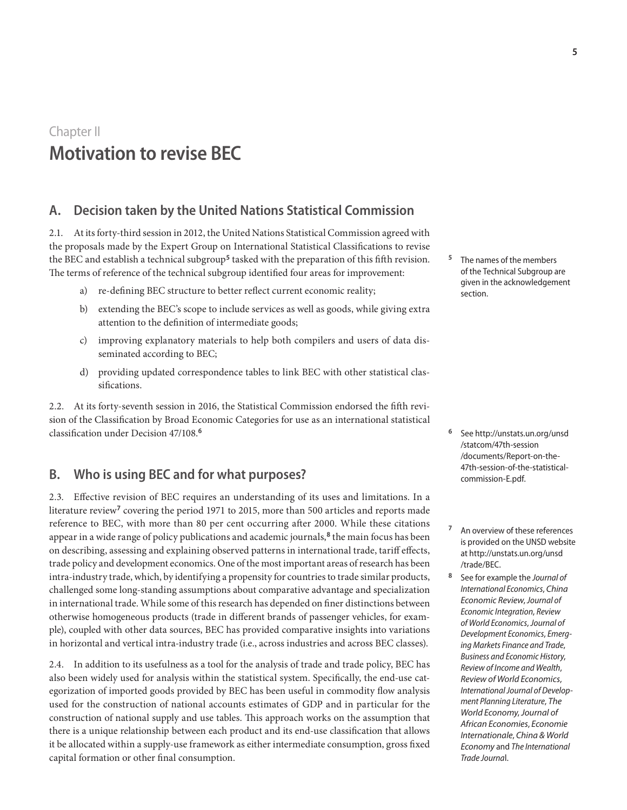### Chapter II **Motivation to revise BEC**

### **A. Decision taken by the United Nations Statistical Commission**

2.1. At its forty-third session in 2012, the United Nations Statistical Commission agreed with the proposals made by the Expert Group on International Statistical Classifications to revise the BEC and establish a technical subgroup**<sup>5</sup>** tasked with the preparation of this fifth revision. The terms of reference of the technical subgroup identified four areas for improvement:

- a) re-defining BEC structure to better reflect current economic reality;
- b) extending the BEC's scope to include services as well as goods, while giving extra attention to the definition of intermediate goods;
- c) improving explanatory materials to help both compilers and users of data disseminated according to BEC;
- d) providing updated correspondence tables to link BEC with other statistical classifications.

2.2. At its forty-seventh session in 2016, the Statistical Commission endorsed the fifth revision of the Classification by Broad Economic Categories for use as an international statistical classification under Decision 47/108. **6**

### **B. Who is using BEC and for what purposes?**

2.3. Effective revision of BEC requires an understanding of its uses and limitations. In a literature review**<sup>7</sup>** covering the period 1971 to 2015, more than 500 articles and reports made reference to BEC, with more than 80 per cent occurring after 2000. While these citations appear in a wide range of policy publications and academic journals, **<sup>8</sup>** the main focus has been on describing, assessing and explaining observed patterns in international trade, tariff effects, trade policy and development economics. One of the most important areas of research has been intra-industry trade, which, by identifying a propensity for countries to trade similar products, challenged some long-standing assumptions about comparative advantage and specialization in international trade. While some of this research has depended on finer distinctions between otherwise homogeneous products (trade in different brands of passenger vehicles, for example), coupled with other data sources, BEC has provided comparative insights into variations in horizontal and vertical intra-industry trade (i.e., across industries and across BEC classes).

2.4. In addition to its usefulness as a tool for the analysis of trade and trade policy, BEC has also been widely used for analysis within the statistical system. Specifically, the end-use categorization of imported goods provided by BEC has been useful in commodity flow analysis used for the construction of national accounts estimates of GDP and in particular for the construction of national supply and use tables. This approach works on the assumption that there is a unique relationship between each product and its end-use classification that allows it be allocated within a supply-use framework as either intermediate consumption, gross fixed capital formation or other final consumption.

**<sup>5</sup>** The names of the members of the Technical Subgroup are given in the acknowledgement section.

- **<sup>6</sup>** See http://unstats.un.org/unsd /statcom/47th-session /documents/Report-on-the-47th-session-of-the-statisticalcommission-E.pdf.
- **<sup>7</sup>** An overview of these references is provided on the UNSD website at http://unstats.un.org/unsd /trade/BEC.
- **<sup>8</sup>** See for example the *Journal of International Economics*, *China Economic Review*, *Journal of Economic Integration*, *Review of World Economics*, *Journal of Development Economics*, *Emerging Markets Finance and Trade*, *Business and Economic History*, *Review of Income and Wealth*, *Review of World Economics*, *International Journal of Development Planning Literature*, *The World Economy*, *Journal of African Economies*, *Economie Internationale*, *China & World Economy* and *The International Trade Journa*l.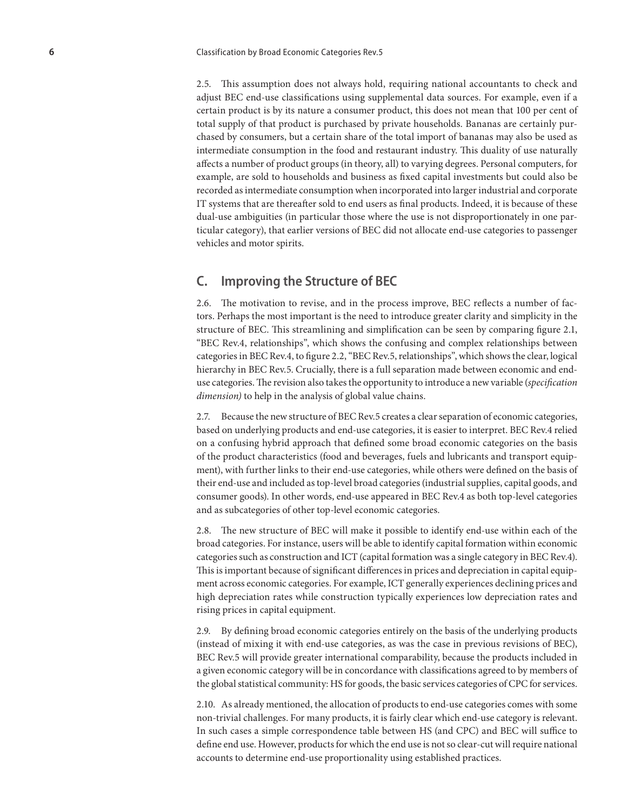2.5. This assumption does not always hold, requiring national accountants to check and adjust BEC end-use classifications using supplemental data sources. For example, even if a certain product is by its nature a consumer product, this does not mean that 100 per cent of total supply of that product is purchased by private households. Bananas are certainly purchased by consumers, but a certain share of the total import of bananas may also be used as intermediate consumption in the food and restaurant industry. This duality of use naturally affects a number of product groups (in theory, all) to varying degrees. Personal computers, for example, are sold to households and business as fixed capital investments but could also be recorded as intermediate consumption when incorporated into larger industrial and corporate IT systems that are thereafter sold to end users as final products. Indeed, it is because of these dual-use ambiguities (in particular those where the use is not disproportionately in one particular category), that earlier versions of BEC did not allocate end-use categories to passenger vehicles and motor spirits.

#### **C. Improving the Structure of BEC**

2.6. The motivation to revise, and in the process improve, BEC reflects a number of factors. Perhaps the most important is the need to introduce greater clarity and simplicity in the structure of BEC. This streamlining and simplification can be seen by comparing figure 2.1, "BEC Rev.4, relationships", which shows the confusing and complex relationships between categories in BEC Rev.4, to figure 2.2, "BEC Rev.5, relationships", which shows the clear, logical hierarchy in BEC Rev.5. Crucially, there is a full separation made between economic and enduse categories. The revision also takes the opportunity to introduce a new variable (*specification dimension)* to help in the analysis of global value chains.

2.7. Because the new structure of BEC Rev.5 creates a clear separation of economic categories, based on underlying products and end-use categories, it is easier to interpret. BEC Rev.4 relied on a confusing hybrid approach that defined some broad economic categories on the basis of the product characteristics (food and beverages, fuels and lubricants and transport equipment), with further links to their end-use categories, while others were defined on the basis of their end-use and included as top-level broad categories (industrial supplies, capital goods, and consumer goods). In other words, end-use appeared in BEC Rev.4 as both top-level categories and as subcategories of other top-level economic categories.

2.8. The new structure of BEC will make it possible to identify end-use within each of the broad categories. For instance, users will be able to identify capital formation within economic categories such as construction and ICT (capital formation was a single category in BEC Rev.4). This is important because of significant differences in prices and depreciation in capital equipment across economic categories. For example, ICT generally experiences declining prices and high depreciation rates while construction typically experiences low depreciation rates and rising prices in capital equipment.

2.9. By defining broad economic categories entirely on the basis of the underlying products (instead of mixing it with end-use categories, as was the case in previous revisions of BEC), BEC Rev.5 will provide greater international comparability, because the products included in a given economic category will be in concordance with classifications agreed to by members of the global statistical community: HS for goods, the basic services categories of CPC for services.

2.10. As already mentioned, the allocation of products to end-use categories comes with some non-trivial challenges. For many products, it is fairly clear which end-use category is relevant. In such cases a simple correspondence table between HS (and CPC) and BEC will suffice to define end use. However, products for which the end use is not so clear-cut will require national accounts to determine end-use proportionality using established practices.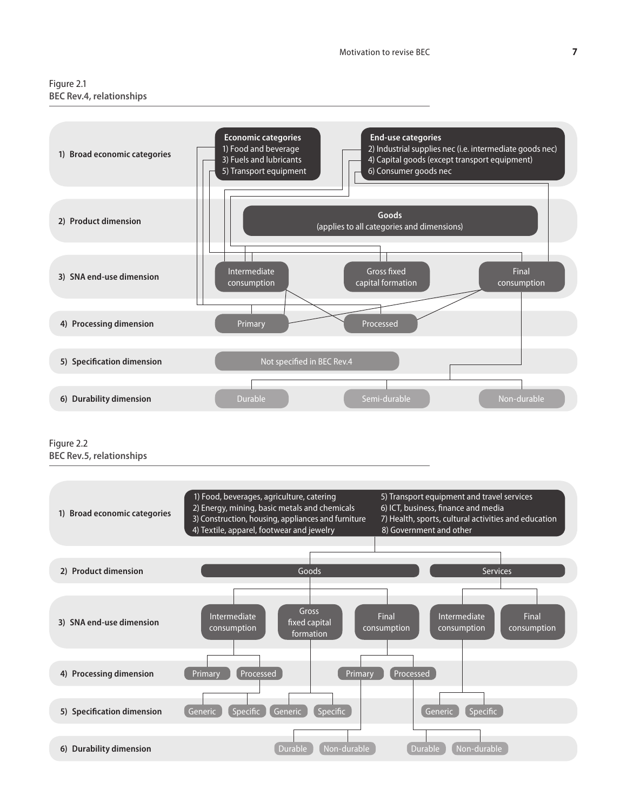#### Figure 2.1 **BEC Rev.4, relationships**



Figure 2.2 **BEC Rev.5, relationships**

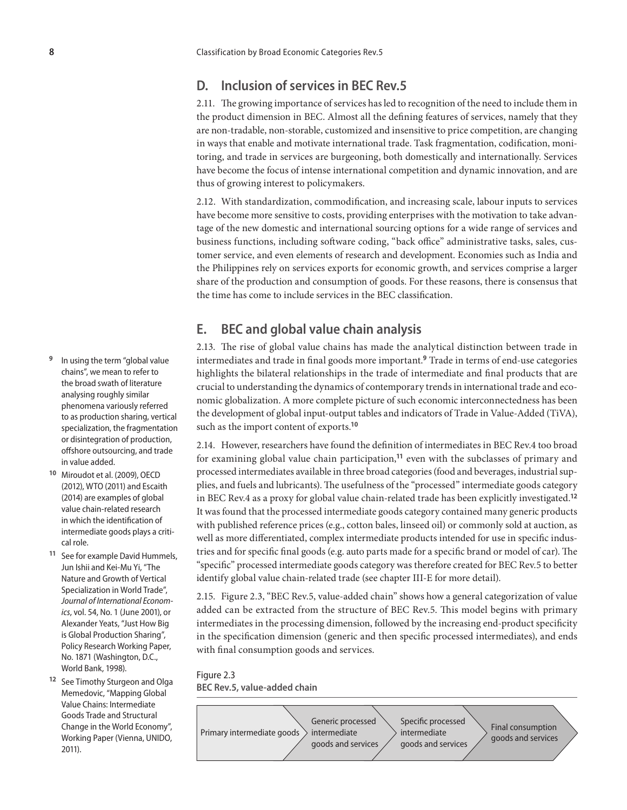### **D. Inclusion of services in BEC Rev.5**

2.11. The growing importance of services has led to recognition of the need to include them in the product dimension in BEC. Almost all the defining features of services, namely that they are non-tradable, non-storable, customized and insensitive to price competition, are changing in ways that enable and motivate international trade. Task fragmentation, codification, monitoring, and trade in services are burgeoning, both domestically and internationally. Services have become the focus of intense international competition and dynamic innovation, and are thus of growing interest to policymakers.

2.12. With standardization, commodification, and increasing scale, labour inputs to services have become more sensitive to costs, providing enterprises with the motivation to take advantage of the new domestic and international sourcing options for a wide range of services and business functions, including software coding, "back office" administrative tasks, sales, customer service, and even elements of research and development. Economies such as India and the Philippines rely on services exports for economic growth, and services comprise a larger share of the production and consumption of goods. For these reasons, there is consensus that the time has come to include services in the BEC classification.

### **E. BEC and global value chain analysis**

2.13. The rise of global value chains has made the analytical distinction between trade in intermediates and trade in final goods more important. **<sup>9</sup>** Trade in terms of end-use categories highlights the bilateral relationships in the trade of intermediate and final products that are crucial to understanding the dynamics of contemporary trends in international trade and economic globalization. A more complete picture of such economic interconnectedness has been the development of global input-output tables and indicators of Trade in Value-Added (TiVA), such as the import content of exports.**<sup>10</sup>**

2.14. However, researchers have found the definition of intermediates in BEC Rev.4 too broad for examining global value chain participation,**<sup>11</sup>** even with the subclasses of primary and processed intermediates available in three broad categories (food and beverages, industrial supplies, and fuels and lubricants). The usefulness of the "processed" intermediate goods category in BEC Rev.4 as a proxy for global value chain-related trade has been explicitly investigated.**<sup>12</sup>** It was found that the processed intermediate goods category contained many generic products with published reference prices (e.g., cotton bales, linseed oil) or commonly sold at auction, as well as more differentiated, complex intermediate products intended for use in specific industries and for specific final goods (e.g. auto parts made for a specific brand or model of car). The "specific" processed intermediate goods category was therefore created for BEC Rev.5 to better identify global value chain-related trade (see chapter III-E for more detail).

2.15. Figure 2.3, "BEC Rev.5, value-added chain" shows how a general categorization of value added can be extracted from the structure of BEC Rev.5. This model begins with primary intermediates in the processing dimension, followed by the increasing end-product specificity in the specification dimension (generic and then specific processed intermediates), and ends with final consumption goods and services.



**BEC Rev.5, value-added chain**



- **<sup>9</sup>** In using the term "global value chains", we mean to refer to the broad swath of literature analysing roughly similar phenomena variously referred to as production sharing, vertical specialization, the fragmentation or disintegration of production, offshore outsourcing, and trade in value added.
- **<sup>10</sup>** Miroudot et al. (2009), OECD (2012), WTO (2011) and Escaith (2014) are examples of global value chain-related research in which the identification of intermediate goods plays a critical role.
- **<sup>11</sup>** See for example David Hummels, Jun Ishii and Kei-Mu Yi, "The Nature and Growth of Vertical Specialization in World Trade", *Journal of International Economics*, vol. 54, No. 1 (June 2001), or Alexander Yeats, "Just How Big is Global Production Sharing", Policy Research Working Paper, No. 1871 (Washington, D.C., World Bank, 1998).
- **<sup>12</sup>** See Timothy Sturgeon and Olga Memedovic, "Mapping Global Value Chains: Intermediate Goods Trade and Structural Change in the World Economy", Working Paper (Vienna, UNIDO, 2011).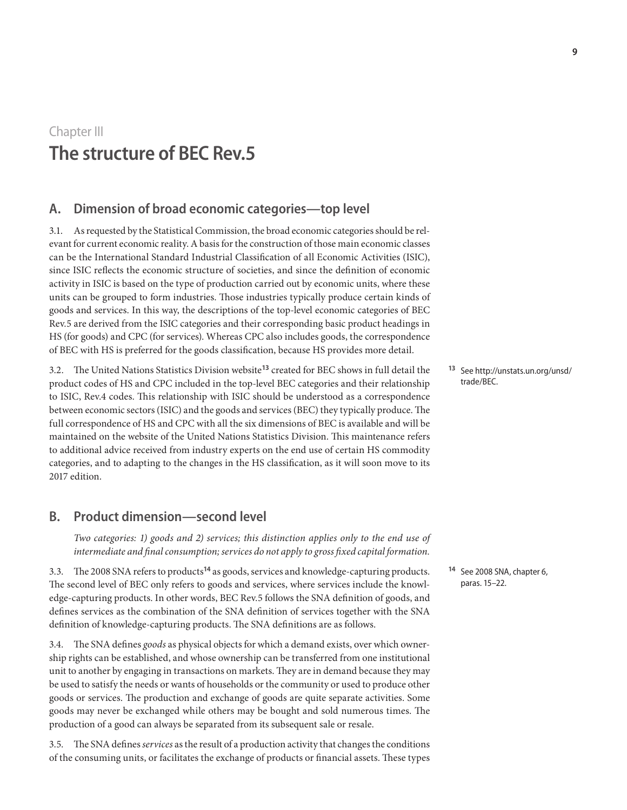### Chapter III **The structure of BEC Rev.5**

### **A. Dimension of broad economic categories—top level**

3.1. As requested by the Statistical Commission, the broad economic categories should be relevant for current economic reality. A basis for the construction of those main economic classes can be the International Standard Industrial Classification of all Economic Activities (ISIC), since ISIC reflects the economic structure of societies, and since the definition of economic activity in ISIC is based on the type of production carried out by economic units, where these units can be grouped to form industries. Those industries typically produce certain kinds of goods and services. In this way, the descriptions of the top-level economic categories of BEC Rev.5 are derived from the ISIC categories and their corresponding basic product headings in HS (for goods) and CPC (for services). Whereas CPC also includes goods, the correspondence of BEC with HS is preferred for the goods classification, because HS provides more detail.

3.2. The United Nations Statistics Division website**<sup>13</sup>** created for BEC shows in full detail the product codes of HS and CPC included in the top-level BEC categories and their relationship to ISIC, Rev.4 codes. This relationship with ISIC should be understood as a correspondence between economic sectors (ISIC) and the goods and services (BEC) they typically produce. The full correspondence of HS and CPC with all the six dimensions of BEC is available and will be maintained on the website of the United Nations Statistics Division. This maintenance refers to additional advice received from industry experts on the end use of certain HS commodity categories, and to adapting to the changes in the HS classification, as it will soon move to its 2017 edition.

#### **B. Product dimension—second level**

*Two categories: 1) goods and 2) services; this distinction applies only to the end use of intermediate and final consumption; services do not apply to gross fixed capital formation.*

3.3. The 2008 SNA refers to products**<sup>14</sup>** as goods, services and knowledge-capturing products. The second level of BEC only refers to goods and services, where services include the knowledge-capturing products. In other words, BEC Rev.5 follows the SNA definition of goods, and defines services as the combination of the SNA definition of services together with the SNA definition of knowledge-capturing products. The SNA definitions are as follows.

3.4. The SNA defines *goods* as physical objects for which a demand exists, over which ownership rights can be established, and whose ownership can be transferred from one institutional unit to another by engaging in transactions on markets. They are in demand because they may be used to satisfy the needs or wants of households or the community or used to produce other goods or services. The production and exchange of goods are quite separate activities. Some goods may never be exchanged while others may be bought and sold numerous times. The production of a good can always be separated from its subsequent sale or resale.

3.5. The SNA defines *services* as the result of a production activity that changes the conditions of the consuming units, or facilitates the exchange of products or financial assets. These types **<sup>13</sup>** See http://unstats.un.org/unsd/ trade/BEC.

**<sup>14</sup>** See 2008 SNA, chapter 6, paras. 15–22.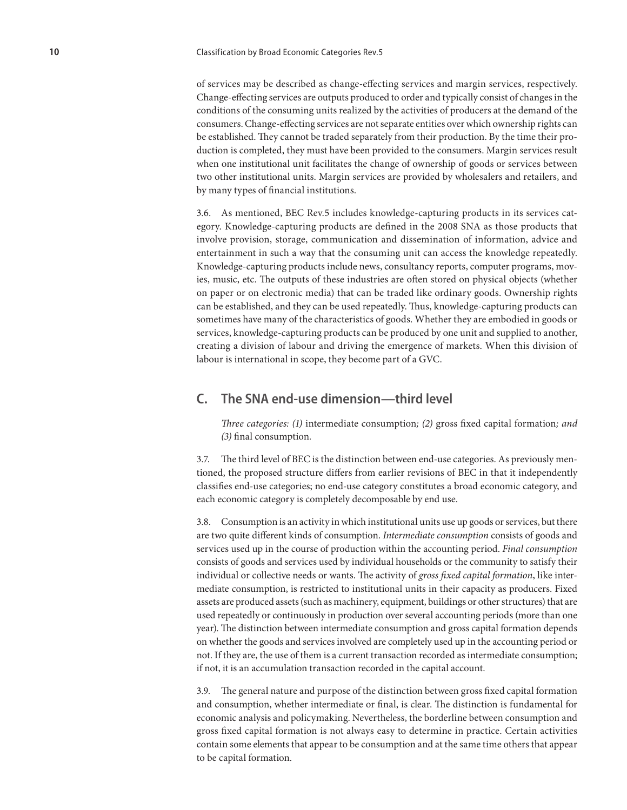#### **10** Classification by Broad Economic Categories Rev.5

of services may be described as change-effecting services and margin services, respectively. Change-effecting services are outputs produced to order and typically consist of changes in the conditions of the consuming units realized by the activities of producers at the demand of the consumers. Change-effecting services are not separate entities over which ownership rights can be established. They cannot be traded separately from their production. By the time their production is completed, they must have been provided to the consumers. Margin services result when one institutional unit facilitates the change of ownership of goods or services between two other institutional units. Margin services are provided by wholesalers and retailers, and by many types of financial institutions.

3.6. As mentioned, BEC Rev.5 includes knowledge-capturing products in its services category. Knowledge-capturing products are defined in the 2008 SNA as those products that involve provision, storage, communication and dissemination of information, advice and entertainment in such a way that the consuming unit can access the knowledge repeatedly. Knowledge-capturing products include news, consultancy reports, computer programs, movies, music, etc. The outputs of these industries are often stored on physical objects (whether on paper or on electronic media) that can be traded like ordinary goods. Ownership rights can be established, and they can be used repeatedly. Thus, knowledge-capturing products can sometimes have many of the characteristics of goods. Whether they are embodied in goods or services, knowledge-capturing products can be produced by one unit and supplied to another, creating a division of labour and driving the emergence of markets. When this division of labour is international in scope, they become part of a GVC.

#### **C. The SNA end-use dimension—third level**

*Three categories: (1)* intermediate consumption*; (2)* gross fixed capital formation*; and (3)* final consumption*.*

3.7. The third level of BEC is the distinction between end-use categories. As previously mentioned, the proposed structure differs from earlier revisions of BEC in that it independently classifies end-use categories; no end-use category constitutes a broad economic category, and each economic category is completely decomposable by end use.

3.8. Consumption is an activity in which institutional units use up goods or services, but there are two quite different kinds of consumption. *Intermediate consumption* consists of goods and services used up in the course of production within the accounting period. *Final consumption*  consists of goods and services used by individual households or the community to satisfy their individual or collective needs or wants. The activity of *gross fixed capital formation*, like intermediate consumption, is restricted to institutional units in their capacity as producers. Fixed assets are produced assets (such as machinery, equipment, buildings or other structures) that are used repeatedly or continuously in production over several accounting periods (more than one year). The distinction between intermediate consumption and gross capital formation depends on whether the goods and services involved are completely used up in the accounting period or not. If they are, the use of them is a current transaction recorded as intermediate consumption; if not, it is an accumulation transaction recorded in the capital account.

3.9. The general nature and purpose of the distinction between gross fixed capital formation and consumption, whether intermediate or final, is clear. The distinction is fundamental for economic analysis and policymaking. Nevertheless, the borderline between consumption and gross fixed capital formation is not always easy to determine in practice. Certain activities contain some elements that appear to be consumption and at the same time others that appear to be capital formation.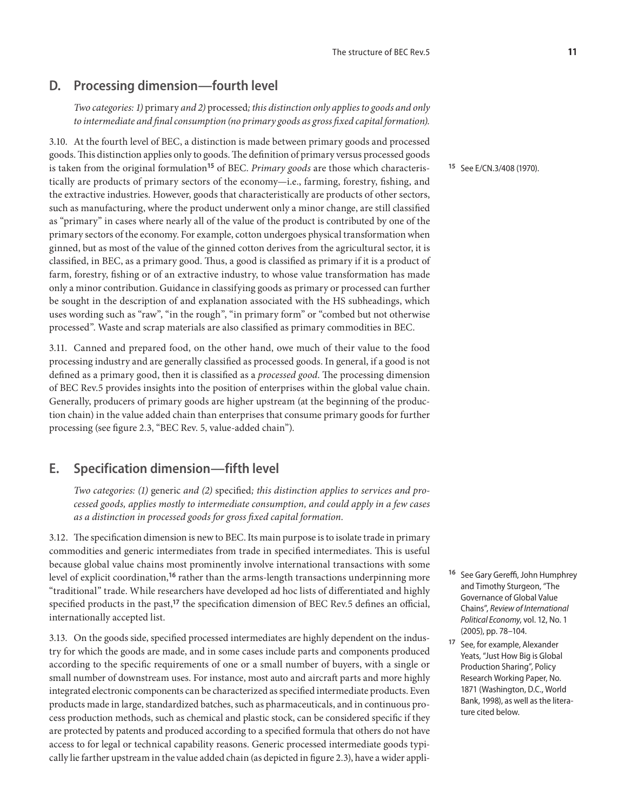### **D. Processing dimension—fourth level**

*Two categories: 1)* primary *and 2)* processed*; this distinction only applies to goods and only to intermediate and final consumption (no primary goods as gross fixed capital formation).*

3.10. At the fourth level of BEC, a distinction is made between primary goods and processed goods. This distinction applies only to goods. The definition of primary versus processed goods is taken from the original formulation**<sup>15</sup>** of BEC. *Primary goods* are those which characteristically are products of primary sectors of the economy—i.e., farming, forestry, fishing, and the extractive industries. However, goods that characteristically are products of other sectors, such as manufacturing, where the product underwent only a minor change, are still classified as "primary" in cases where nearly all of the value of the product is contributed by one of the primary sectors of the economy. For example, cotton undergoes physical transformation when ginned, but as most of the value of the ginned cotton derives from the agricultural sector, it is classified, in BEC, as a primary good. Thus, a good is classified as primary if it is a product of farm, forestry, fishing or of an extractive industry, to whose value transformation has made only a minor contribution. Guidance in classifying goods as primary or processed can further be sought in the description of and explanation associated with the HS subheadings, which uses wording such as "raw", "in the rough", "in primary form" or "combed but not otherwise processed". Waste and scrap materials are also classified as primary commodities in BEC.

3.11. Canned and prepared food, on the other hand, owe much of their value to the food processing industry and are generally classified as processed goods. In general, if a good is not defined as a primary good, then it is classified as a *processed good*. The processing dimension of BEC Rev.5 provides insights into the position of enterprises within the global value chain. Generally, producers of primary goods are higher upstream (at the beginning of the production chain) in the value added chain than enterprises that consume primary goods for further processing (see figure 2.3, "BEC Rev. 5, value-added chain").

### **E. Specification dimension—fifth level**

*Two categories: (1)* generic *and (2)* specified*; this distinction applies to services and processed goods, applies mostly to intermediate consumption, and could apply in a few cases as a distinction in processed goods for gross fixed capital formation.* 

3.12. The specification dimension is new to BEC. Its main purpose is to isolate trade in primary commodities and generic intermediates from trade in specified intermediates. This is useful because global value chains most prominently involve international transactions with some level of explicit coordination,**<sup>16</sup>** rather than the arms-length transactions underpinning more "traditional" trade. While researchers have developed ad hoc lists of differentiated and highly specified products in the past,**<sup>17</sup>** the specification dimension of BEC Rev.5 defines an official, internationally accepted list.

3.13. On the goods side, specified processed intermediates are highly dependent on the industry for which the goods are made, and in some cases include parts and components produced according to the specific requirements of one or a small number of buyers, with a single or small number of downstream uses. For instance, most auto and aircraft parts and more highly integrated electronic components can be characterized as specified intermediate products. Even products made in large, standardized batches, such as pharmaceuticals, and in continuous process production methods, such as chemical and plastic stock, can be considered specific if they are protected by patents and produced according to a specified formula that others do not have access to for legal or technical capability reasons. Generic processed intermediate goods typically lie farther upstream in the value added chain (as depicted in figure 2.3), have a wider appli**<sup>15</sup>** See E/CN.3/408 (1970).

- **<sup>16</sup>** See Gary Gereffi, John Humphrey and Timothy Sturgeon, "The Governance of Global Value Chains", *Review of International Political Economy*, vol. 12, No. 1 (2005), pp. 78–104.
- **<sup>17</sup>** See, for example, Alexander Yeats, "Just How Big is Global Production Sharing", Policy Research Working Paper, No. 1871 (Washington, D.C., World Bank, 1998), as well as the literature cited below.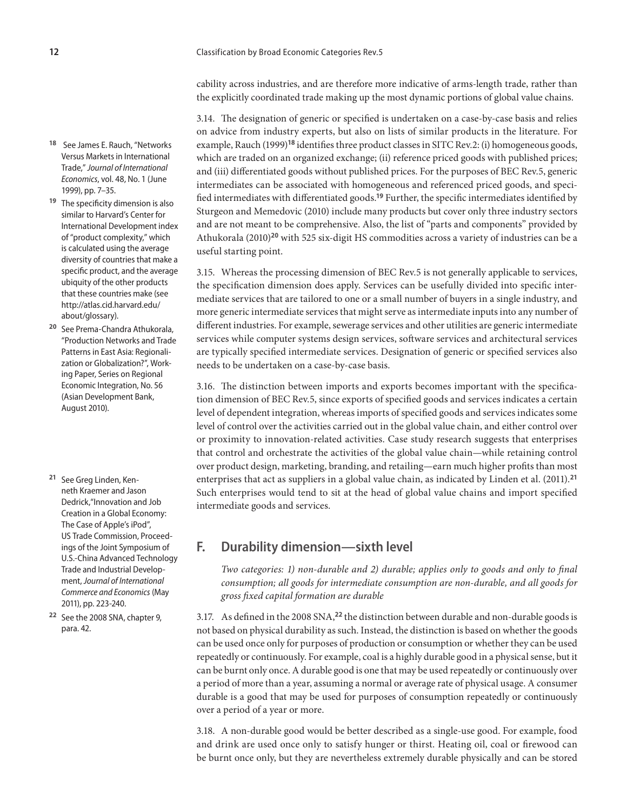cability across industries, and are therefore more indicative of arms-length trade, rather than the explicitly coordinated trade making up the most dynamic portions of global value chains.

3.14. The designation of generic or specified is undertaken on a case-by-case basis and relies on advice from industry experts, but also on lists of similar products in the literature. For example, Rauch (1999)**<sup>18</sup>** identifies three product classes in SITC Rev.2: (i) homogeneous goods, which are traded on an organized exchange; (ii) reference priced goods with published prices; and (iii) differentiated goods without published prices. For the purposes of BEC Rev.5, generic intermediates can be associated with homogeneous and referenced priced goods, and specified intermediates with differentiated goods.**<sup>19</sup>** Further, the specific intermediates identified by Sturgeon and Memedovic (2010) include many products but cover only three industry sectors and are not meant to be comprehensive. Also, the list of "parts and components" provided by Athukorala (2010)**<sup>20</sup>** with 525 six-digit HS commodities across a variety of industries can be a useful starting point.

3.15. Whereas the processing dimension of BEC Rev.5 is not generally applicable to services, the specification dimension does apply. Services can be usefully divided into specific intermediate services that are tailored to one or a small number of buyers in a single industry, and more generic intermediate services that might serve as intermediate inputs into any number of different industries. For example, sewerage services and other utilities are generic intermediate services while computer systems design services, software services and architectural services are typically specified intermediate services. Designation of generic or specified services also needs to be undertaken on a case-by-case basis.

3.16. The distinction between imports and exports becomes important with the specification dimension of BEC Rev.5, since exports of specified goods and services indicates a certain level of dependent integration, whereas imports of specified goods and services indicates some level of control over the activities carried out in the global value chain, and either control over or proximity to innovation-related activities. Case study research suggests that enterprises that control and orchestrate the activities of the global value chain—while retaining control over product design, marketing, branding, and retailing—earn much higher profits than most enterprises that act as suppliers in a global value chain, as indicated by Linden et al. (2011). **21** Such enterprises would tend to sit at the head of global value chains and import specified intermediate goods and services.

### **F. Durability dimension—sixth level**

*Two categories: 1) non-durable and 2) durable; applies only to goods and only to final consumption; all goods for intermediate consumption are non-durable, and all goods for gross fixed capital formation are durable*

3.17. As defined in the 2008 SNA,**<sup>22</sup>** the distinction between durable and non-durable goods is not based on physical durability as such. Instead, the distinction is based on whether the goods can be used once only for purposes of production or consumption or whether they can be used repeatedly or continuously. For example, coal is a highly durable good in a physical sense, but it can be burnt only once. A durable good is one that may be used repeatedly or continuously over a period of more than a year, assuming a normal or average rate of physical usage. A consumer durable is a good that may be used for purposes of consumption repeatedly or continuously over a period of a year or more.

3.18. A non-durable good would be better described as a single-use good. For example, food and drink are used once only to satisfy hunger or thirst. Heating oil, coal or firewood can be burnt once only, but they are nevertheless extremely durable physically and can be stored

- **<sup>18</sup>** See James E. Rauch, "Networks Versus Markets in International Trade," *Journal of International Economics*, vol. 48, No. 1 (June 1999), pp. 7–35.
- **<sup>19</sup>** The specificity dimension is also similar to Harvard's Center for International Development index of "product complexity," which is calculated using the average diversity of countries that make a specific product, and the average ubiquity of the other products that these countries make (see http://atlas.cid.harvard.edu/ about/glossary).
- **<sup>20</sup>** See Prema-Chandra Athukorala, "Production Networks and Trade Patterns in East Asia: Regionalization or Globalization?", Working Paper, Series on Regional Economic Integration, No. 56 (Asian Development Bank, August 2010).
- **<sup>21</sup>** See Greg Linden, Kenneth Kraemer and Jason Dedrick,"Innovation and Job Creation in a Global Economy: The Case of Apple's iPod", US Trade Commission, Proceedings of the Joint Symposium of U.S.-China Advanced Technology Trade and Industrial Development, *Journal of International Commerce and Economics* (May 2011), pp. 223-240.
- **<sup>22</sup>** See the 2008 SNA, chapter 9, para. 42.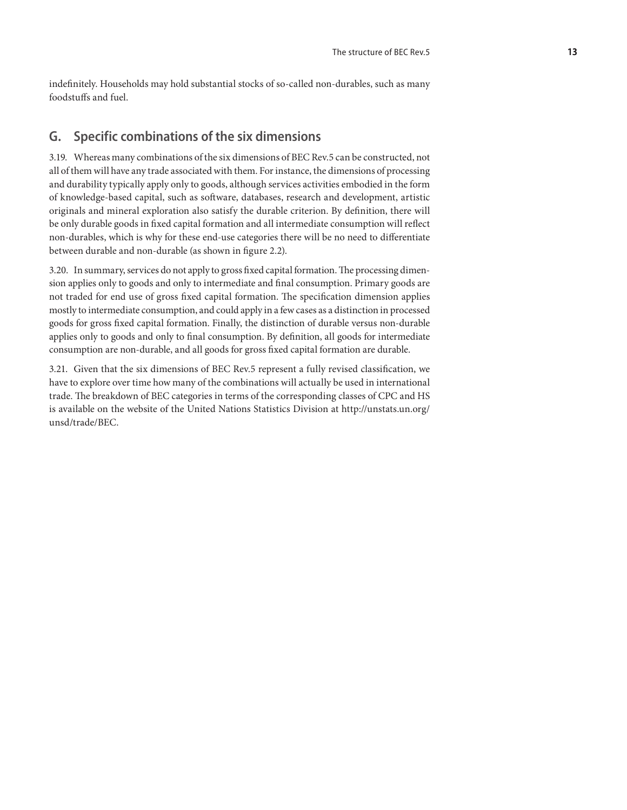indefinitely. Households may hold substantial stocks of so-called non-durables, such as many foodstuffs and fuel.

### **G. Specific combinations of the six dimensions**

3.19. Whereas many combinations of the six dimensions of BEC Rev.5 can be constructed, not all of them will have any trade associated with them. For instance, the dimensions of processing and durability typically apply only to goods, although services activities embodied in the form of knowledge-based capital, such as software, databases, research and development, artistic originals and mineral exploration also satisfy the durable criterion. By definition, there will be only durable goods in fixed capital formation and all intermediate consumption will reflect non-durables, which is why for these end-use categories there will be no need to differentiate between durable and non-durable (as shown in figure 2.2).

3.20. In summary, services do not apply to gross fixed capital formation. The processing dimension applies only to goods and only to intermediate and final consumption. Primary goods are not traded for end use of gross fixed capital formation. The specification dimension applies mostly to intermediate consumption, and could apply in a few cases as a distinction in processed goods for gross fixed capital formation. Finally, the distinction of durable versus non-durable applies only to goods and only to final consumption. By definition, all goods for intermediate consumption are non-durable, and all goods for gross fixed capital formation are durable.

3.21. Given that the six dimensions of BEC Rev.5 represent a fully revised classification, we have to explore over time how many of the combinations will actually be used in international trade. The breakdown of BEC categories in terms of the corresponding classes of CPC and HS is available on the website of the United Nations Statistics Division at http://unstats.un.org/ unsd/trade/BEC.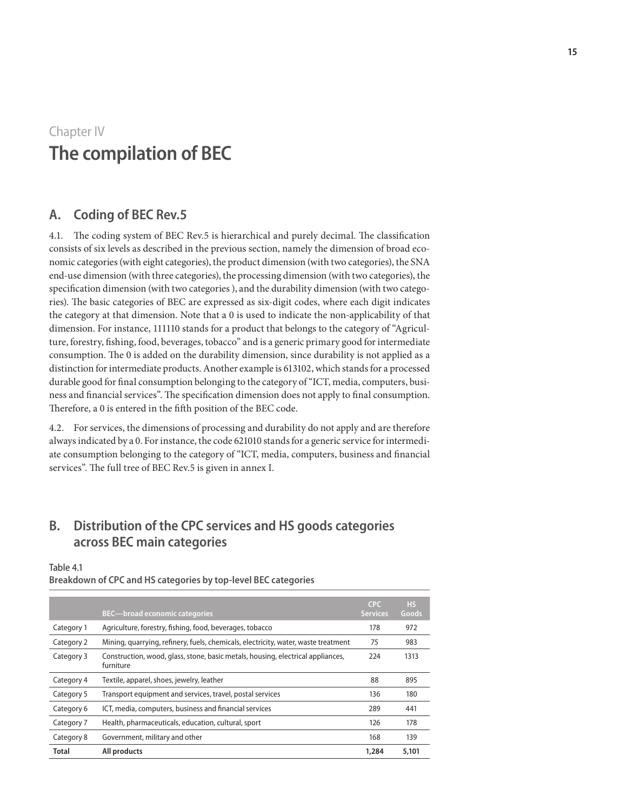### Chapter IV **The compilation of BEC**

### **A. Coding of BEC Rev.5**

4.1. The coding system of BEC Rev.5 is hierarchical and purely decimal. The classification consists of six levels as described in the previous section, namely the dimension of broad economic categories (with eight categories), the product dimension (with two categories), the SNA end-use dimension (with three categories), the processing dimension (with two categories), the specification dimension (with two categories ), and the durability dimension (with two categories). The basic categories of BEC are expressed as six-digit codes, where each digit indicates the category at that dimension. Note that a 0 is used to indicate the non-applicability of that dimension. For instance, 111110 stands for a product that belongs to the category of "Agriculture, forestry, fishing, food, beverages, tobacco" and is a generic primary good for intermediate consumption. The 0 is added on the durability dimension, since durability is not applied as a distinction for intermediate products. Another example is 613102, which stands for a processed durable good for final consumption belonging to the category of "ICT, media, computers, business and financial services". The specification dimension does not apply to final consumption. Therefore, a 0 is entered in the fifth position of the BEC code.

4.2. For services, the dimensions of processing and durability do not apply and are therefore always indicated by a 0. For instance, the code 621010 stands for a generic service for intermediate consumption belonging to the category of "ICT, media, computers, business and financial services". The full tree of BEC Rev.5 is given in annex I.

### **B. Distribution of the CPC services and HS goods categories across BEC main categories**

Table 4.1

**Breakdown of CPC and HS categories by top-level BEC categories**

|              | <b>BEC-broad economic categories</b>                                                         | <b>CPC</b><br><b>Services</b> | <b>HS</b><br>Goods |
|--------------|----------------------------------------------------------------------------------------------|-------------------------------|--------------------|
| Category 1   | Agriculture, forestry, fishing, food, beverages, tobacco                                     | 178                           | 972                |
| Category 2   | Mining, quarrying, refinery, fuels, chemicals, electricity, water, waste treatment           | 75                            | 983                |
| Category 3   | Construction, wood, glass, stone, basic metals, housing, electrical appliances,<br>furniture | 224                           | 1313               |
| Category 4   | Textile, apparel, shoes, jewelry, leather                                                    | 88                            | 895                |
| Category 5   | Transport equipment and services, travel, postal services                                    | 136                           | 180                |
| Category 6   | ICT, media, computers, business and financial services                                       | 289                           | 441                |
| Category 7   | Health, pharmaceuticals, education, cultural, sport                                          | 126                           | 178                |
| Category 8   | Government, military and other                                                               | 168                           | 139                |
| <b>Total</b> | All products                                                                                 | 1,284                         | 5,101              |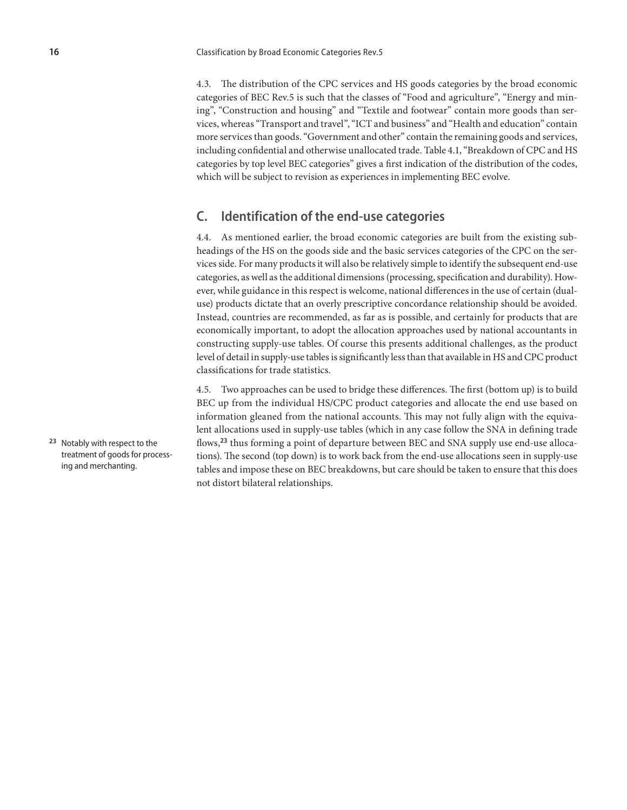4.3. The distribution of the CPC services and HS goods categories by the broad economic categories of BEC Rev.5 is such that the classes of "Food and agriculture", "Energy and mining", "Construction and housing" and "Textile and footwear" contain more goods than services, whereas "Transport and travel", "ICT and business" and "Health and education" contain more services than goods. "Government and other" contain the remaining goods and services, including confidential and otherwise unallocated trade. Table 4.1, "Breakdown of CPC and HS categories by top level BEC categories" gives a first indication of the distribution of the codes, which will be subject to revision as experiences in implementing BEC evolve.

### **C. Identification of the end-use categories**

4.4. As mentioned earlier, the broad economic categories are built from the existing subheadings of the HS on the goods side and the basic services categories of the CPC on the services side. For many products it will also be relatively simple to identify the subsequent end-use categories, as well as the additional dimensions (processing, specification and durability). However, while guidance in this respect is welcome, national differences in the use of certain (dualuse) products dictate that an overly prescriptive concordance relationship should be avoided. Instead, countries are recommended, as far as is possible, and certainly for products that are economically important, to adopt the allocation approaches used by national accountants in constructing supply-use tables. Of course this presents additional challenges, as the product level of detail in supply-use tables is significantly less than that available in HS and CPC product classifications for trade statistics.

4.5. Two approaches can be used to bridge these differences. The first (bottom up) is to build BEC up from the individual HS/CPC product categories and allocate the end use based on information gleaned from the national accounts. This may not fully align with the equivalent allocations used in supply-use tables (which in any case follow the SNA in defining trade flows,**<sup>23</sup>** thus forming a point of departure between BEC and SNA supply use end-use allocations). The second (top down) is to work back from the end-use allocations seen in supply-use tables and impose these on BEC breakdowns, but care should be taken to ensure that this does not distort bilateral relationships.

**<sup>23</sup>** Notably with respect to the treatment of goods for processing and merchanting.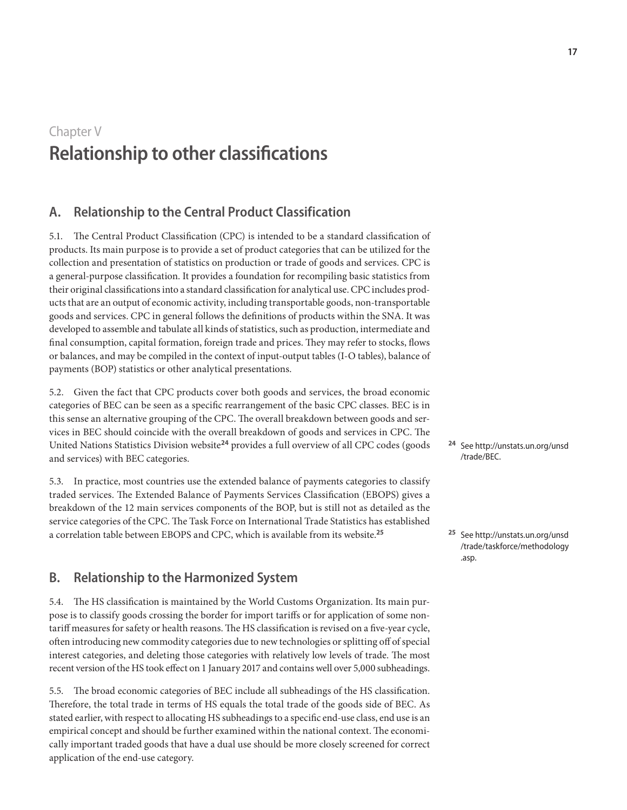### Chapter V **Relationship to other classifications**

### **A. Relationship to the Central Product Classification**

5.1. The Central Product Classification (CPC) is intended to be a standard classification of products. Its main purpose is to provide a set of product categories that can be utilized for the collection and presentation of statistics on production or trade of goods and services. CPC is a general-purpose classification. It provides a foundation for recompiling basic statistics from their original classifications into a standard classification for analytical use. CPC includes products that are an output of economic activity, including transportable goods, non-transportable goods and services. CPC in general follows the definitions of products within the SNA. It was developed to assemble and tabulate all kinds of statistics, such as production, intermediate and final consumption, capital formation, foreign trade and prices. They may refer to stocks, flows or balances, and may be compiled in the context of input-output tables (I-O tables), balance of payments (BOP) statistics or other analytical presentations.

5.2. Given the fact that CPC products cover both goods and services, the broad economic categories of BEC can be seen as a specific rearrangement of the basic CPC classes. BEC is in this sense an alternative grouping of the CPC. The overall breakdown between goods and services in BEC should coincide with the overall breakdown of goods and services in CPC. The United Nations Statistics Division website**<sup>24</sup>** provides a full overview of all CPC codes (goods and services) with BEC categories.

5.3. In practice, most countries use the extended balance of payments categories to classify traded services. The Extended Balance of Payments Services Classification (EBOPS) gives a breakdown of the 12 main services components of the BOP, but is still not as detailed as the service categories of the CPC. The Task Force on International Trade Statistics has established a correlation table between EBOPS and CPC, which is available from its website.**<sup>25</sup>**

### **B. Relationship to the Harmonized System**

5.4. The HS classification is maintained by the World Customs Organization. Its main purpose is to classify goods crossing the border for import tariffs or for application of some nontariff measures for safety or health reasons. The HS classification is revised on a five-year cycle, often introducing new commodity categories due to new technologies or splitting off of special interest categories, and deleting those categories with relatively low levels of trade. The most recent version of the HS took effect on 1 January 2017 and contains well over 5,000 subheadings.

5.5. The broad economic categories of BEC include all subheadings of the HS classification. Therefore, the total trade in terms of HS equals the total trade of the goods side of BEC. As stated earlier, with respect to allocating HS subheadings to a specific end-use class, end use is an empirical concept and should be further examined within the national context. The economically important traded goods that have a dual use should be more closely screened for correct application of the end-use category.

- **<sup>24</sup>** See http://unstats.un.org/unsd /trade/BEC.
- **<sup>25</sup>** See http://unstats.un.org/unsd /trade/taskforce/methodology .asp.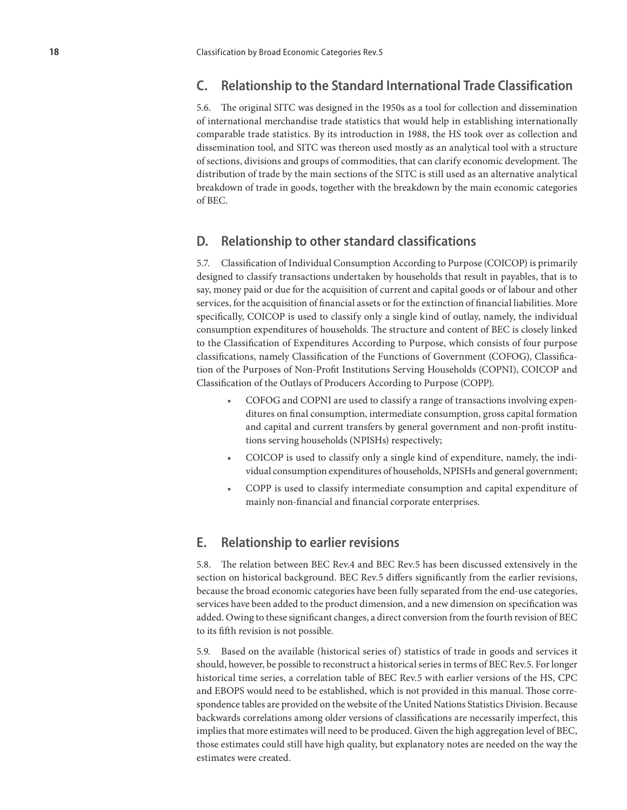### **C. Relationship to the Standard International Trade Classification**

5.6. The original SITC was designed in the 1950s as a tool for collection and dissemination of international merchandise trade statistics that would help in establishing internationally comparable trade statistics. By its introduction in 1988, the HS took over as collection and dissemination tool, and SITC was thereon used mostly as an analytical tool with a structure of sections, divisions and groups of commodities, that can clarify economic development. The distribution of trade by the main sections of the SITC is still used as an alternative analytical breakdown of trade in goods, together with the breakdown by the main economic categories of BEC.

### **D. Relationship to other standard classifications**

5.7. Classification of Individual Consumption According to Purpose (COICOP) is primarily designed to classify transactions undertaken by households that result in payables, that is to say, money paid or due for the acquisition of current and capital goods or of labour and other services, for the acquisition of financial assets or for the extinction of financial liabilities. More specifically, COICOP is used to classify only a single kind of outlay, namely, the individual consumption expenditures of households. The structure and content of BEC is closely linked to the Classification of Expenditures According to Purpose, which consists of four purpose classifications, namely Classification of the Functions of Government (COFOG), Classification of the Purposes of Non-Profit Institutions Serving Households (COPNI), COICOP and Classification of the Outlays of Producers According to Purpose (COPP).

- COFOG and COPNI are used to classify a range of transactions involving expenditures on final consumption, intermediate consumption, gross capital formation and capital and current transfers by general government and non-profit institutions serving households (NPISHs) respectively;
- COICOP is used to classify only a single kind of expenditure, namely, the individual consumption expenditures of households, NPISHs and general government;
- COPP is used to classify intermediate consumption and capital expenditure of mainly non-financial and financial corporate enterprises.

#### **E. Relationship to earlier revisions**

5.8. The relation between BEC Rev.4 and BEC Rev.5 has been discussed extensively in the section on historical background. BEC Rev.5 differs significantly from the earlier revisions, because the broad economic categories have been fully separated from the end-use categories, services have been added to the product dimension, and a new dimension on specification was added. Owing to these significant changes, a direct conversion from the fourth revision of BEC to its fifth revision is not possible.

5.9. Based on the available (historical series of) statistics of trade in goods and services it should, however, be possible to reconstruct a historical series in terms of BEC Rev.5. For longer historical time series, a correlation table of BEC Rev.5 with earlier versions of the HS, CPC and EBOPS would need to be established, which is not provided in this manual. Those correspondence tables are provided on the website of the United Nations Statistics Division. Because backwards correlations among older versions of classifications are necessarily imperfect, this implies that more estimates will need to be produced. Given the high aggregation level of BEC, those estimates could still have high quality, but explanatory notes are needed on the way the estimates were created.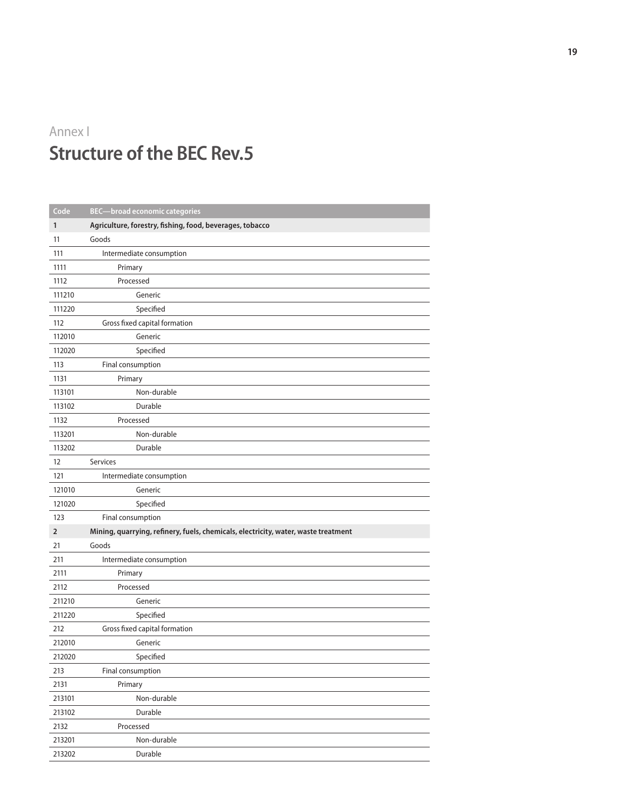### Annex I **Structure of the BEC Rev.5**

| Code           | <b>BEC-broad economic categories</b>                                               |
|----------------|------------------------------------------------------------------------------------|
| 1              | Agriculture, forestry, fishing, food, beverages, tobacco                           |
| 11             | Goods                                                                              |
| 111            | Intermediate consumption                                                           |
| 1111           | Primary                                                                            |
| 1112           | Processed                                                                          |
| 111210         | Generic                                                                            |
| 111220         | Specified                                                                          |
| 112            | Gross fixed capital formation                                                      |
| 112010         | Generic                                                                            |
| 112020         | Specified                                                                          |
| 113            | Final consumption                                                                  |
| 1131           | Primary                                                                            |
| 113101         | Non-durable                                                                        |
| 113102         | Durable                                                                            |
| 1132           | Processed                                                                          |
| 113201         | Non-durable                                                                        |
| 113202         | Durable                                                                            |
| 12             | Services                                                                           |
| 121            | Intermediate consumption                                                           |
| 121010         | Generic                                                                            |
| 121020         | Specified                                                                          |
| 123            | Final consumption                                                                  |
| $\overline{2}$ | Mining, quarrying, refinery, fuels, chemicals, electricity, water, waste treatment |
| 21             | Goods                                                                              |
| 211            | Intermediate consumption                                                           |
| 2111           | Primary                                                                            |
| 2112           | Processed                                                                          |
| 211210         | Generic                                                                            |
| 211220         | Specified                                                                          |
| 212            | Gross fixed capital formation                                                      |
| 212010         | Generic                                                                            |
| 212020         | Specified                                                                          |
| 213            | Final consumption                                                                  |
| 2131           | Primary                                                                            |
| 213101         | Non-durable                                                                        |
| 213102         | Durable                                                                            |
| 2132           | Processed                                                                          |
| 213201         | Non-durable                                                                        |
| 213202         | Durable                                                                            |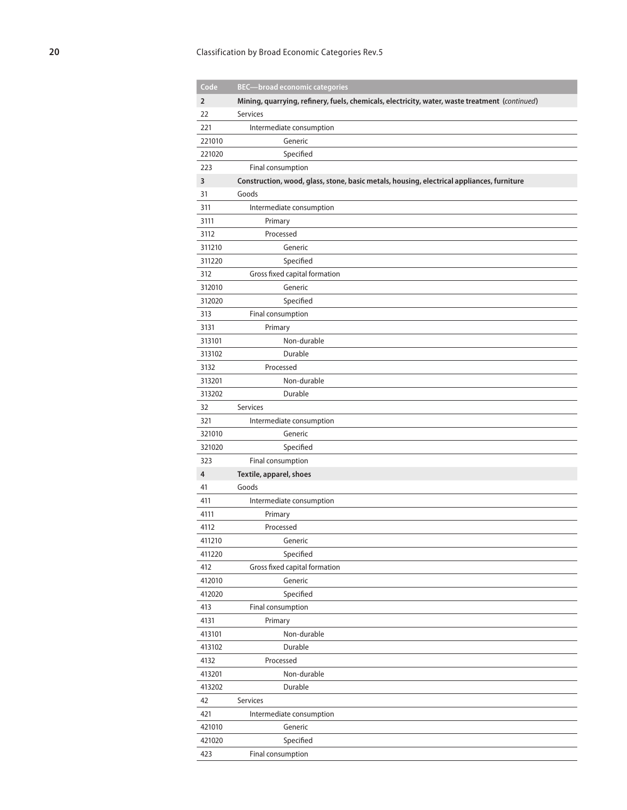### Classification by Broad Economic Categories Rev.5

| Mining, quarrying, refinery, fuels, chemicals, electricity, water, waste treatment (continued)<br>$\overline{2}$<br>Services<br>22<br>Intermediate consumption<br>221<br>221010<br>Generic<br>Specified<br>221020<br>Final consumption<br>223<br>Construction, wood, glass, stone, basic metals, housing, electrical appliances, furniture<br>3<br>Goods<br>31<br>Intermediate consumption<br>311<br>3111<br>Primary<br>3112<br>Processed<br>311210<br>Generic<br>Specified<br>311220<br>Gross fixed capital formation<br>312<br>Generic<br>312010<br>Specified<br>312020<br>Final consumption<br>313<br>3131<br>Primary<br>Non-durable<br>313101<br>313102<br>Durable<br>3132<br>Processed<br>Non-durable<br>313201 |                                            |
|----------------------------------------------------------------------------------------------------------------------------------------------------------------------------------------------------------------------------------------------------------------------------------------------------------------------------------------------------------------------------------------------------------------------------------------------------------------------------------------------------------------------------------------------------------------------------------------------------------------------------------------------------------------------------------------------------------------------|--------------------------------------------|
|                                                                                                                                                                                                                                                                                                                                                                                                                                                                                                                                                                                                                                                                                                                      |                                            |
|                                                                                                                                                                                                                                                                                                                                                                                                                                                                                                                                                                                                                                                                                                                      |                                            |
|                                                                                                                                                                                                                                                                                                                                                                                                                                                                                                                                                                                                                                                                                                                      |                                            |
|                                                                                                                                                                                                                                                                                                                                                                                                                                                                                                                                                                                                                                                                                                                      |                                            |
|                                                                                                                                                                                                                                                                                                                                                                                                                                                                                                                                                                                                                                                                                                                      |                                            |
|                                                                                                                                                                                                                                                                                                                                                                                                                                                                                                                                                                                                                                                                                                                      |                                            |
|                                                                                                                                                                                                                                                                                                                                                                                                                                                                                                                                                                                                                                                                                                                      |                                            |
|                                                                                                                                                                                                                                                                                                                                                                                                                                                                                                                                                                                                                                                                                                                      |                                            |
|                                                                                                                                                                                                                                                                                                                                                                                                                                                                                                                                                                                                                                                                                                                      |                                            |
|                                                                                                                                                                                                                                                                                                                                                                                                                                                                                                                                                                                                                                                                                                                      |                                            |
|                                                                                                                                                                                                                                                                                                                                                                                                                                                                                                                                                                                                                                                                                                                      |                                            |
|                                                                                                                                                                                                                                                                                                                                                                                                                                                                                                                                                                                                                                                                                                                      |                                            |
|                                                                                                                                                                                                                                                                                                                                                                                                                                                                                                                                                                                                                                                                                                                      |                                            |
|                                                                                                                                                                                                                                                                                                                                                                                                                                                                                                                                                                                                                                                                                                                      |                                            |
|                                                                                                                                                                                                                                                                                                                                                                                                                                                                                                                                                                                                                                                                                                                      |                                            |
|                                                                                                                                                                                                                                                                                                                                                                                                                                                                                                                                                                                                                                                                                                                      |                                            |
|                                                                                                                                                                                                                                                                                                                                                                                                                                                                                                                                                                                                                                                                                                                      |                                            |
|                                                                                                                                                                                                                                                                                                                                                                                                                                                                                                                                                                                                                                                                                                                      |                                            |
|                                                                                                                                                                                                                                                                                                                                                                                                                                                                                                                                                                                                                                                                                                                      |                                            |
|                                                                                                                                                                                                                                                                                                                                                                                                                                                                                                                                                                                                                                                                                                                      |                                            |
|                                                                                                                                                                                                                                                                                                                                                                                                                                                                                                                                                                                                                                                                                                                      |                                            |
|                                                                                                                                                                                                                                                                                                                                                                                                                                                                                                                                                                                                                                                                                                                      |                                            |
| 313202<br>Durable                                                                                                                                                                                                                                                                                                                                                                                                                                                                                                                                                                                                                                                                                                    |                                            |
| 32<br><b>Services</b>                                                                                                                                                                                                                                                                                                                                                                                                                                                                                                                                                                                                                                                                                                |                                            |
| 321                                                                                                                                                                                                                                                                                                                                                                                                                                                                                                                                                                                                                                                                                                                  |                                            |
| 321010<br>Generic                                                                                                                                                                                                                                                                                                                                                                                                                                                                                                                                                                                                                                                                                                    | Intermediate consumption                   |
| 321020<br>Specified                                                                                                                                                                                                                                                                                                                                                                                                                                                                                                                                                                                                                                                                                                  |                                            |
| 323                                                                                                                                                                                                                                                                                                                                                                                                                                                                                                                                                                                                                                                                                                                  |                                            |
| Textile, apparel, shoes<br>4                                                                                                                                                                                                                                                                                                                                                                                                                                                                                                                                                                                                                                                                                         | Final consumption                          |
| Goods<br>41                                                                                                                                                                                                                                                                                                                                                                                                                                                                                                                                                                                                                                                                                                          |                                            |
| 411                                                                                                                                                                                                                                                                                                                                                                                                                                                                                                                                                                                                                                                                                                                  |                                            |
| 4111                                                                                                                                                                                                                                                                                                                                                                                                                                                                                                                                                                                                                                                                                                                 |                                            |
| Processed<br>4112                                                                                                                                                                                                                                                                                                                                                                                                                                                                                                                                                                                                                                                                                                    | Intermediate consumption<br>Primary        |
| 411210<br>Generic                                                                                                                                                                                                                                                                                                                                                                                                                                                                                                                                                                                                                                                                                                    |                                            |
| 411220                                                                                                                                                                                                                                                                                                                                                                                                                                                                                                                                                                                                                                                                                                               |                                            |
| 412                                                                                                                                                                                                                                                                                                                                                                                                                                                                                                                                                                                                                                                                                                                  |                                            |
| 412010                                                                                                                                                                                                                                                                                                                                                                                                                                                                                                                                                                                                                                                                                                               | Specified<br>Gross fixed capital formation |
| 412020                                                                                                                                                                                                                                                                                                                                                                                                                                                                                                                                                                                                                                                                                                               |                                            |
| 413                                                                                                                                                                                                                                                                                                                                                                                                                                                                                                                                                                                                                                                                                                                  | Generic                                    |
| 4131                                                                                                                                                                                                                                                                                                                                                                                                                                                                                                                                                                                                                                                                                                                 | Specified                                  |
| 413101                                                                                                                                                                                                                                                                                                                                                                                                                                                                                                                                                                                                                                                                                                               | Final consumption                          |
|                                                                                                                                                                                                                                                                                                                                                                                                                                                                                                                                                                                                                                                                                                                      | Primary                                    |
| Durable                                                                                                                                                                                                                                                                                                                                                                                                                                                                                                                                                                                                                                                                                                              | Non-durable                                |
| 413102                                                                                                                                                                                                                                                                                                                                                                                                                                                                                                                                                                                                                                                                                                               |                                            |
| Processed<br>4132<br>Non-durable<br>413201                                                                                                                                                                                                                                                                                                                                                                                                                                                                                                                                                                                                                                                                           |                                            |
| 413202<br>Durable                                                                                                                                                                                                                                                                                                                                                                                                                                                                                                                                                                                                                                                                                                    |                                            |
| Services<br>42                                                                                                                                                                                                                                                                                                                                                                                                                                                                                                                                                                                                                                                                                                       |                                            |
| 421<br>Intermediate consumption                                                                                                                                                                                                                                                                                                                                                                                                                                                                                                                                                                                                                                                                                      |                                            |
| 421010<br>Generic                                                                                                                                                                                                                                                                                                                                                                                                                                                                                                                                                                                                                                                                                                    |                                            |
| 421020<br>Specified                                                                                                                                                                                                                                                                                                                                                                                                                                                                                                                                                                                                                                                                                                  |                                            |
|                                                                                                                                                                                                                                                                                                                                                                                                                                                                                                                                                                                                                                                                                                                      |                                            |
|                                                                                                                                                                                                                                                                                                                                                                                                                                                                                                                                                                                                                                                                                                                      |                                            |
|                                                                                                                                                                                                                                                                                                                                                                                                                                                                                                                                                                                                                                                                                                                      |                                            |
|                                                                                                                                                                                                                                                                                                                                                                                                                                                                                                                                                                                                                                                                                                                      |                                            |
|                                                                                                                                                                                                                                                                                                                                                                                                                                                                                                                                                                                                                                                                                                                      |                                            |
|                                                                                                                                                                                                                                                                                                                                                                                                                                                                                                                                                                                                                                                                                                                      |                                            |
|                                                                                                                                                                                                                                                                                                                                                                                                                                                                                                                                                                                                                                                                                                                      |                                            |
|                                                                                                                                                                                                                                                                                                                                                                                                                                                                                                                                                                                                                                                                                                                      |                                            |
|                                                                                                                                                                                                                                                                                                                                                                                                                                                                                                                                                                                                                                                                                                                      |                                            |
|                                                                                                                                                                                                                                                                                                                                                                                                                                                                                                                                                                                                                                                                                                                      |                                            |
|                                                                                                                                                                                                                                                                                                                                                                                                                                                                                                                                                                                                                                                                                                                      |                                            |
|                                                                                                                                                                                                                                                                                                                                                                                                                                                                                                                                                                                                                                                                                                                      |                                            |
|                                                                                                                                                                                                                                                                                                                                                                                                                                                                                                                                                                                                                                                                                                                      |                                            |
|                                                                                                                                                                                                                                                                                                                                                                                                                                                                                                                                                                                                                                                                                                                      |                                            |
|                                                                                                                                                                                                                                                                                                                                                                                                                                                                                                                                                                                                                                                                                                                      |                                            |
|                                                                                                                                                                                                                                                                                                                                                                                                                                                                                                                                                                                                                                                                                                                      |                                            |
|                                                                                                                                                                                                                                                                                                                                                                                                                                                                                                                                                                                                                                                                                                                      |                                            |
|                                                                                                                                                                                                                                                                                                                                                                                                                                                                                                                                                                                                                                                                                                                      |                                            |
|                                                                                                                                                                                                                                                                                                                                                                                                                                                                                                                                                                                                                                                                                                                      |                                            |
|                                                                                                                                                                                                                                                                                                                                                                                                                                                                                                                                                                                                                                                                                                                      |                                            |
|                                                                                                                                                                                                                                                                                                                                                                                                                                                                                                                                                                                                                                                                                                                      |                                            |
|                                                                                                                                                                                                                                                                                                                                                                                                                                                                                                                                                                                                                                                                                                                      |                                            |
|                                                                                                                                                                                                                                                                                                                                                                                                                                                                                                                                                                                                                                                                                                                      |                                            |
|                                                                                                                                                                                                                                                                                                                                                                                                                                                                                                                                                                                                                                                                                                                      |                                            |
|                                                                                                                                                                                                                                                                                                                                                                                                                                                                                                                                                                                                                                                                                                                      |                                            |
|                                                                                                                                                                                                                                                                                                                                                                                                                                                                                                                                                                                                                                                                                                                      |                                            |
|                                                                                                                                                                                                                                                                                                                                                                                                                                                                                                                                                                                                                                                                                                                      |                                            |
|                                                                                                                                                                                                                                                                                                                                                                                                                                                                                                                                                                                                                                                                                                                      |                                            |
|                                                                                                                                                                                                                                                                                                                                                                                                                                                                                                                                                                                                                                                                                                                      |                                            |
|                                                                                                                                                                                                                                                                                                                                                                                                                                                                                                                                                                                                                                                                                                                      |                                            |
|                                                                                                                                                                                                                                                                                                                                                                                                                                                                                                                                                                                                                                                                                                                      |                                            |
|                                                                                                                                                                                                                                                                                                                                                                                                                                                                                                                                                                                                                                                                                                                      |                                            |
|                                                                                                                                                                                                                                                                                                                                                                                                                                                                                                                                                                                                                                                                                                                      |                                            |
|                                                                                                                                                                                                                                                                                                                                                                                                                                                                                                                                                                                                                                                                                                                      |                                            |
|                                                                                                                                                                                                                                                                                                                                                                                                                                                                                                                                                                                                                                                                                                                      |                                            |
|                                                                                                                                                                                                                                                                                                                                                                                                                                                                                                                                                                                                                                                                                                                      |                                            |
|                                                                                                                                                                                                                                                                                                                                                                                                                                                                                                                                                                                                                                                                                                                      |                                            |
|                                                                                                                                                                                                                                                                                                                                                                                                                                                                                                                                                                                                                                                                                                                      |                                            |
|                                                                                                                                                                                                                                                                                                                                                                                                                                                                                                                                                                                                                                                                                                                      |                                            |
|                                                                                                                                                                                                                                                                                                                                                                                                                                                                                                                                                                                                                                                                                                                      |                                            |
|                                                                                                                                                                                                                                                                                                                                                                                                                                                                                                                                                                                                                                                                                                                      |                                            |
|                                                                                                                                                                                                                                                                                                                                                                                                                                                                                                                                                                                                                                                                                                                      |                                            |
|                                                                                                                                                                                                                                                                                                                                                                                                                                                                                                                                                                                                                                                                                                                      |                                            |
|                                                                                                                                                                                                                                                                                                                                                                                                                                                                                                                                                                                                                                                                                                                      |                                            |
|                                                                                                                                                                                                                                                                                                                                                                                                                                                                                                                                                                                                                                                                                                                      |                                            |
|                                                                                                                                                                                                                                                                                                                                                                                                                                                                                                                                                                                                                                                                                                                      |                                            |
|                                                                                                                                                                                                                                                                                                                                                                                                                                                                                                                                                                                                                                                                                                                      |                                            |
|                                                                                                                                                                                                                                                                                                                                                                                                                                                                                                                                                                                                                                                                                                                      |                                            |
|                                                                                                                                                                                                                                                                                                                                                                                                                                                                                                                                                                                                                                                                                                                      |                                            |
|                                                                                                                                                                                                                                                                                                                                                                                                                                                                                                                                                                                                                                                                                                                      |                                            |
|                                                                                                                                                                                                                                                                                                                                                                                                                                                                                                                                                                                                                                                                                                                      |                                            |
|                                                                                                                                                                                                                                                                                                                                                                                                                                                                                                                                                                                                                                                                                                                      |                                            |
|                                                                                                                                                                                                                                                                                                                                                                                                                                                                                                                                                                                                                                                                                                                      |                                            |
|                                                                                                                                                                                                                                                                                                                                                                                                                                                                                                                                                                                                                                                                                                                      |                                            |
|                                                                                                                                                                                                                                                                                                                                                                                                                                                                                                                                                                                                                                                                                                                      |                                            |
|                                                                                                                                                                                                                                                                                                                                                                                                                                                                                                                                                                                                                                                                                                                      |                                            |
|                                                                                                                                                                                                                                                                                                                                                                                                                                                                                                                                                                                                                                                                                                                      |                                            |
|                                                                                                                                                                                                                                                                                                                                                                                                                                                                                                                                                                                                                                                                                                                      |                                            |
|                                                                                                                                                                                                                                                                                                                                                                                                                                                                                                                                                                                                                                                                                                                      |                                            |
|                                                                                                                                                                                                                                                                                                                                                                                                                                                                                                                                                                                                                                                                                                                      |                                            |
|                                                                                                                                                                                                                                                                                                                                                                                                                                                                                                                                                                                                                                                                                                                      |                                            |
|                                                                                                                                                                                                                                                                                                                                                                                                                                                                                                                                                                                                                                                                                                                      |                                            |
|                                                                                                                                                                                                                                                                                                                                                                                                                                                                                                                                                                                                                                                                                                                      |                                            |
|                                                                                                                                                                                                                                                                                                                                                                                                                                                                                                                                                                                                                                                                                                                      |                                            |
|                                                                                                                                                                                                                                                                                                                                                                                                                                                                                                                                                                                                                                                                                                                      |                                            |
|                                                                                                                                                                                                                                                                                                                                                                                                                                                                                                                                                                                                                                                                                                                      |                                            |
|                                                                                                                                                                                                                                                                                                                                                                                                                                                                                                                                                                                                                                                                                                                      |                                            |
|                                                                                                                                                                                                                                                                                                                                                                                                                                                                                                                                                                                                                                                                                                                      |                                            |
|                                                                                                                                                                                                                                                                                                                                                                                                                                                                                                                                                                                                                                                                                                                      |                                            |
|                                                                                                                                                                                                                                                                                                                                                                                                                                                                                                                                                                                                                                                                                                                      |                                            |
|                                                                                                                                                                                                                                                                                                                                                                                                                                                                                                                                                                                                                                                                                                                      |                                            |
|                                                                                                                                                                                                                                                                                                                                                                                                                                                                                                                                                                                                                                                                                                                      |                                            |
|                                                                                                                                                                                                                                                                                                                                                                                                                                                                                                                                                                                                                                                                                                                      |                                            |
|                                                                                                                                                                                                                                                                                                                                                                                                                                                                                                                                                                                                                                                                                                                      |                                            |
|                                                                                                                                                                                                                                                                                                                                                                                                                                                                                                                                                                                                                                                                                                                      |                                            |
|                                                                                                                                                                                                                                                                                                                                                                                                                                                                                                                                                                                                                                                                                                                      |                                            |
|                                                                                                                                                                                                                                                                                                                                                                                                                                                                                                                                                                                                                                                                                                                      |                                            |
|                                                                                                                                                                                                                                                                                                                                                                                                                                                                                                                                                                                                                                                                                                                      |                                            |
|                                                                                                                                                                                                                                                                                                                                                                                                                                                                                                                                                                                                                                                                                                                      |                                            |
|                                                                                                                                                                                                                                                                                                                                                                                                                                                                                                                                                                                                                                                                                                                      |                                            |
|                                                                                                                                                                                                                                                                                                                                                                                                                                                                                                                                                                                                                                                                                                                      |                                            |
|                                                                                                                                                                                                                                                                                                                                                                                                                                                                                                                                                                                                                                                                                                                      |                                            |
|                                                                                                                                                                                                                                                                                                                                                                                                                                                                                                                                                                                                                                                                                                                      |                                            |
|                                                                                                                                                                                                                                                                                                                                                                                                                                                                                                                                                                                                                                                                                                                      |                                            |
|                                                                                                                                                                                                                                                                                                                                                                                                                                                                                                                                                                                                                                                                                                                      |                                            |
|                                                                                                                                                                                                                                                                                                                                                                                                                                                                                                                                                                                                                                                                                                                      |                                            |
|                                                                                                                                                                                                                                                                                                                                                                                                                                                                                                                                                                                                                                                                                                                      |                                            |
|                                                                                                                                                                                                                                                                                                                                                                                                                                                                                                                                                                                                                                                                                                                      |                                            |
|                                                                                                                                                                                                                                                                                                                                                                                                                                                                                                                                                                                                                                                                                                                      |                                            |
|                                                                                                                                                                                                                                                                                                                                                                                                                                                                                                                                                                                                                                                                                                                      |                                            |
|                                                                                                                                                                                                                                                                                                                                                                                                                                                                                                                                                                                                                                                                                                                      |                                            |
|                                                                                                                                                                                                                                                                                                                                                                                                                                                                                                                                                                                                                                                                                                                      |                                            |
|                                                                                                                                                                                                                                                                                                                                                                                                                                                                                                                                                                                                                                                                                                                      |                                            |
|                                                                                                                                                                                                                                                                                                                                                                                                                                                                                                                                                                                                                                                                                                                      |                                            |
|                                                                                                                                                                                                                                                                                                                                                                                                                                                                                                                                                                                                                                                                                                                      |                                            |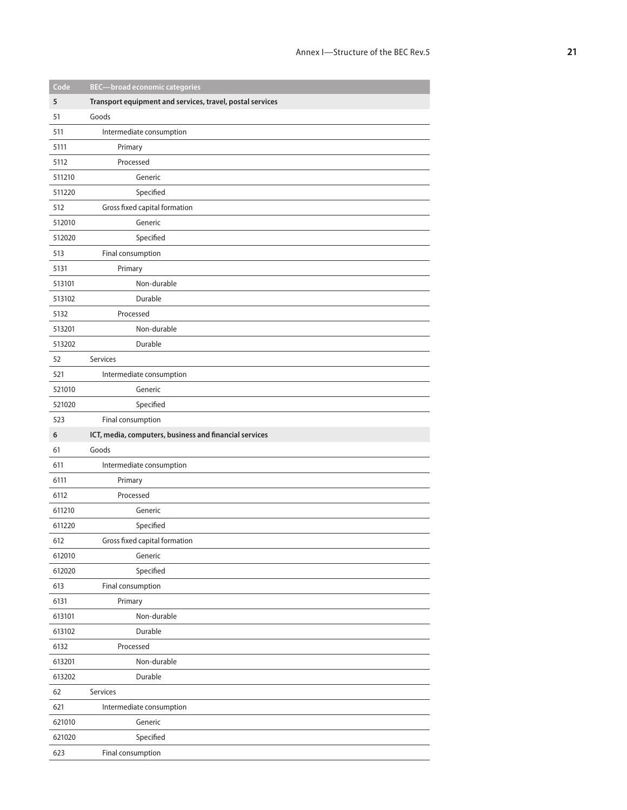| Code   | <b>BEC-broad economic categories</b>                      |
|--------|-----------------------------------------------------------|
| 5      | Transport equipment and services, travel, postal services |
| 51     | Goods                                                     |
| 511    | Intermediate consumption                                  |
| 5111   | Primary                                                   |
| 5112   | Processed                                                 |
| 511210 | Generic                                                   |
| 511220 | Specified                                                 |
| 512    | Gross fixed capital formation                             |
| 512010 | Generic                                                   |
| 512020 | Specified                                                 |
| 513    | Final consumption                                         |
| 5131   | Primary                                                   |
| 513101 | Non-durable                                               |
| 513102 | Durable                                                   |
| 5132   | Processed                                                 |
| 513201 | Non-durable                                               |
| 513202 | Durable                                                   |
| 52     | Services                                                  |
| 521    | Intermediate consumption                                  |
| 521010 | Generic                                                   |
| 521020 | Specified                                                 |
| 523    | Final consumption                                         |
| 6      | ICT, media, computers, business and financial services    |
| 61     | Goods                                                     |
| 611    | Intermediate consumption                                  |
| 6111   | Primary                                                   |
| 6112   | Processed                                                 |
| 611210 |                                                           |
|        | Generic                                                   |
| 611220 | Specified                                                 |
| 612    | Gross fixed capital formation                             |
| 612010 | Generic                                                   |
| 612020 | Specified                                                 |
| 613    | Final consumption                                         |
| 6131   | Primary                                                   |
| 613101 | Non-durable                                               |
| 613102 | Durable                                                   |
| 6132   | Processed                                                 |
| 613201 | Non-durable                                               |
| 613202 | Durable                                                   |
| 62     | Services                                                  |
| 621    | Intermediate consumption                                  |
| 621010 | Generic                                                   |
| 621020 | Specified                                                 |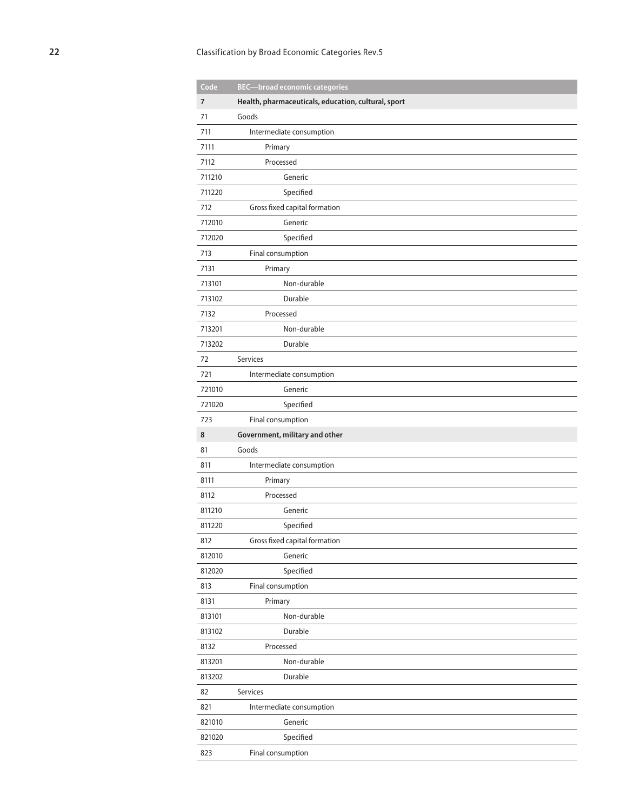### Classification by Broad Economic Categories Rev.5

| $\overline{\mathsf{Code}}$ | <b>BEC-broad economic categories</b>                |
|----------------------------|-----------------------------------------------------|
| 7                          | Health, pharmaceuticals, education, cultural, sport |
| 71                         | Goods                                               |
| 711                        | Intermediate consumption                            |
| 7111                       | Primary                                             |
| 7112                       | Processed                                           |
| 711210                     | Generic                                             |
| 711220                     | Specified                                           |
| 712                        | Gross fixed capital formation                       |
| 712010                     | Generic                                             |
| 712020                     | Specified                                           |
| 713                        | Final consumption                                   |
| 7131                       | Primary                                             |
| 713101                     | Non-durable                                         |
| 713102                     | Durable                                             |
| 7132                       | Processed                                           |
| 713201                     | Non-durable                                         |
| 713202                     | Durable                                             |
| 72                         | Services                                            |
| 721                        | Intermediate consumption                            |
| 721010                     | Generic                                             |
| 721020                     | Specified                                           |
| 723                        | Final consumption                                   |
| 8                          | Government, military and other                      |
| 81                         | Goods                                               |
| 811                        | Intermediate consumption                            |
| 8111                       | Primary                                             |
| 8112                       | Processed                                           |
| 811210                     | Generic                                             |
| 811220                     | Specified                                           |
| 812                        | Gross fixed capital formation                       |
| 812010                     | Generic                                             |
| 812020                     | Specified                                           |
| 813                        | Final consumption                                   |
| 8131                       | Primary                                             |
| 813101                     | Non-durable                                         |
| 813102                     | Durable                                             |
| 8132                       | Processed                                           |
| 813201                     | Non-durable                                         |
| 813202                     |                                                     |
|                            | Durable                                             |
| 82                         | Services                                            |
| 821                        | Intermediate consumption                            |
| 821010                     | Generic                                             |
| 821020                     | Specified                                           |